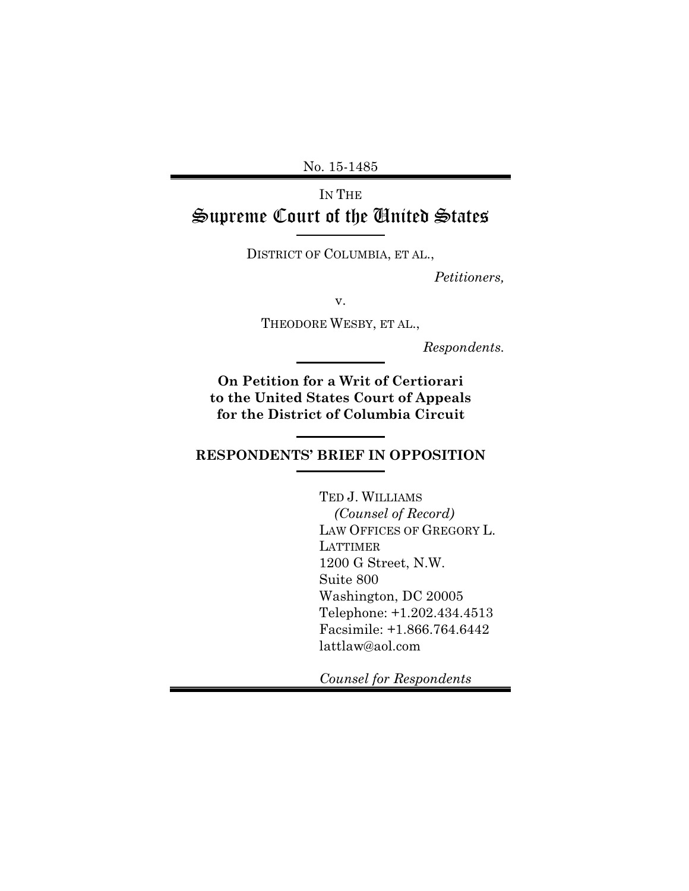No. 15-1485

# IN THE Supreme Court of the United States

DISTRICT OF COLUMBIA, ET AL.,

*Petitioners,*

v.

THEODORE WESBY, ET AL.,

*Respondents.*

**On Petition for a Writ of Certiorari to the United States Court of Appeals for the District of Columbia Circuit**

### **RESPONDENTS' BRIEF IN OPPOSITION**

TED J. WILLIAMS  *(Counsel of Record)* LAW OFFICES OF GREGORY L. LATTIMER 1200 G Street, N.W. Suite 800 Washington, DC 20005 Telephone: +1.202.434.4513 Facsimile: +1.866.764.6442 lattlaw@aol.com

*Counsel for Respondents*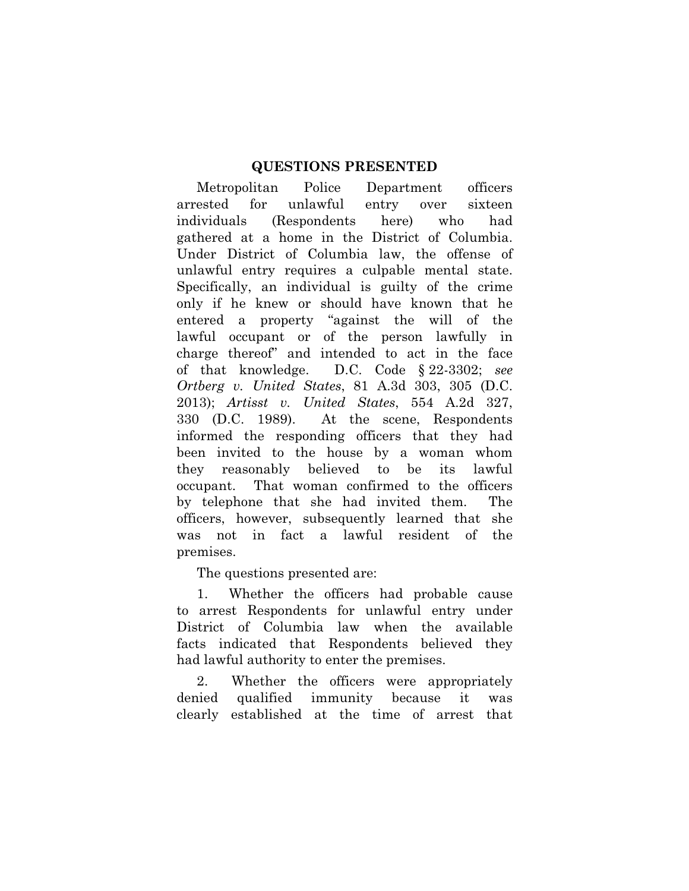### **QUESTIONS PRESENTED**

Metropolitan Police Department officers arrested for unlawful entry over sixteen individuals (Respondents here) who had gathered at a home in the District of Columbia. Under District of Columbia law, the offense of unlawful entry requires a culpable mental state. Specifically, an individual is guilty of the crime only if he knew or should have known that he entered a property "against the will of the lawful occupant or of the person lawfully in charge thereof" and intended to act in the face of that knowledge. D.C. Code § 22-3302; *see Ortberg v. United States*, 81 A.3d 303, 305 (D.C. 2013); *Artisst v. United States*, 554 A.2d 327, 330 (D.C. 1989). At the scene, Respondents informed the responding officers that they had been invited to the house by a woman whom they reasonably believed to be its lawful occupant. That woman confirmed to the officers by telephone that she had invited them. The officers, however, subsequently learned that she was not in fact a lawful resident of the premises.

The questions presented are:

1. Whether the officers had probable cause to arrest Respondents for unlawful entry under District of Columbia law when the available facts indicated that Respondents believed they had lawful authority to enter the premises.

2. Whether the officers were appropriately denied qualified immunity because it was clearly established at the time of arrest that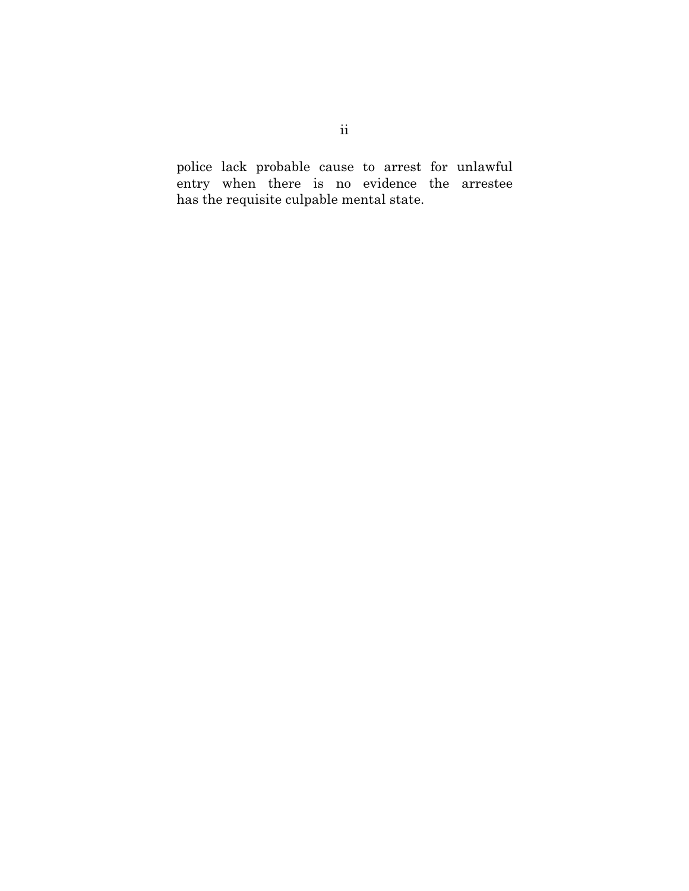police lack probable cause to arrest for unlawful entry when there is no evidence the arrestee has the requisite culpable mental state.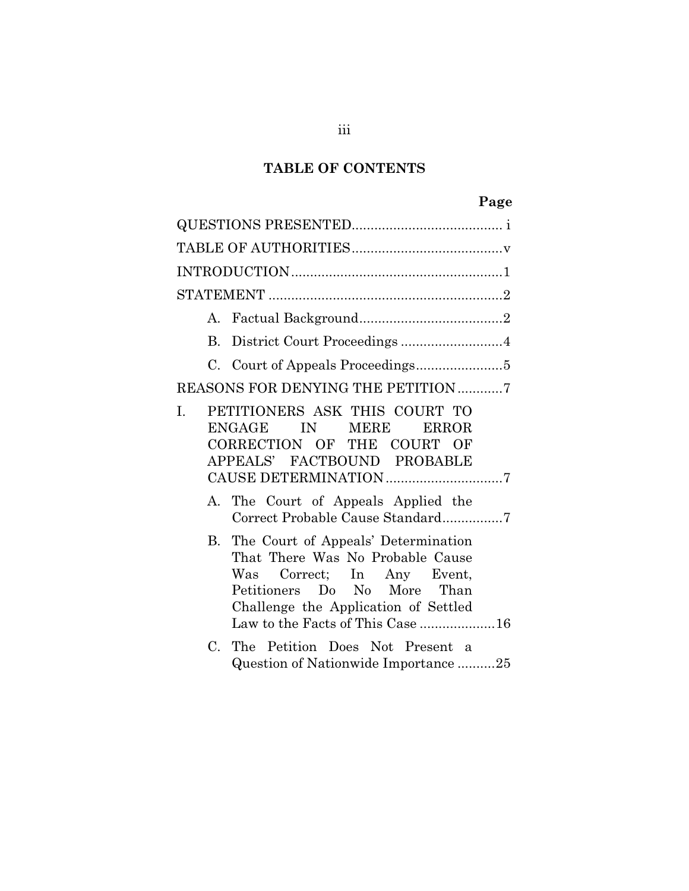## **TABLE OF CONTENTS**

| B.          | District Court Proceedings 4                                                                                                                                                                                        |
|-------------|---------------------------------------------------------------------------------------------------------------------------------------------------------------------------------------------------------------------|
|             |                                                                                                                                                                                                                     |
|             | REASONS FOR DENYING THE PETITION 7                                                                                                                                                                                  |
| I.          | PETITIONERS ASK THIS COURT TO<br><b>MERE</b><br>ENGAGE<br>IN 1999<br><b>ERROR</b><br>CORRECTION OF THE COURT OF<br>APPEALS' FACTBOUND PROBABLE<br>CAUSE DETERMINATION 7                                             |
|             | A. The Court of Appeals Applied the<br>Correct Probable Cause Standard7                                                                                                                                             |
|             | B. The Court of Appeals' Determination<br>That There Was No Probable Cause<br>Was Correct; In Any Event,<br>Petitioners Do No More Than<br>Challenge the Application of Settled<br>Law to the Facts of This Case 16 |
| $C_{\cdot}$ | The Petition Does Not Present a<br>Question of Nationwide Importance25                                                                                                                                              |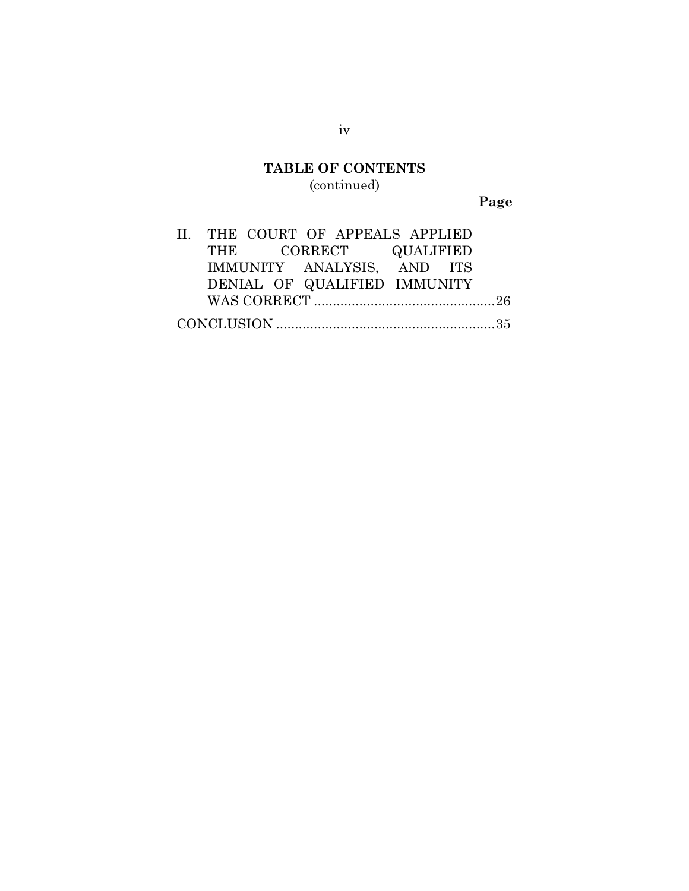## **TABLE OF CONTENTS** (continued)

**Page**

| II. THE COURT OF APPEALS APPLIED |  |                              |  |  |
|----------------------------------|--|------------------------------|--|--|
|                                  |  | THE CORRECT QUALIFIED        |  |  |
|                                  |  | IMMUNITY ANALYSIS, AND ITS   |  |  |
|                                  |  | DENIAL OF QUALIFIED IMMUNITY |  |  |
|                                  |  |                              |  |  |
|                                  |  |                              |  |  |

iv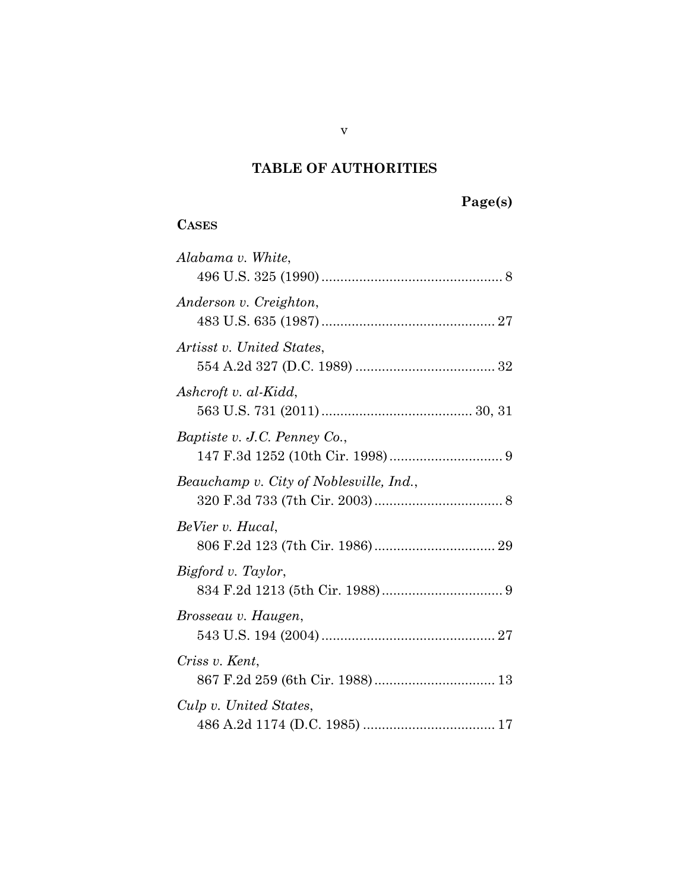## **TABLE OF AUTHORITIES**

# **Page(s)**

## **CASES**

| Alabama v. White,                       |
|-----------------------------------------|
| Anderson v. Creighton,                  |
| Artisst v. United States,               |
| Ashcroft v. al-Kidd,                    |
| Baptiste v. J.C. Penney Co.,            |
| Beauchamp v. City of Noblesville, Ind., |
| BeVier v. Hucal,                        |
| Bigford v. Taylor,                      |
| Brosseau v. Haugen,                     |
| Criss v. Kent,                          |
| Culp v. United States,                  |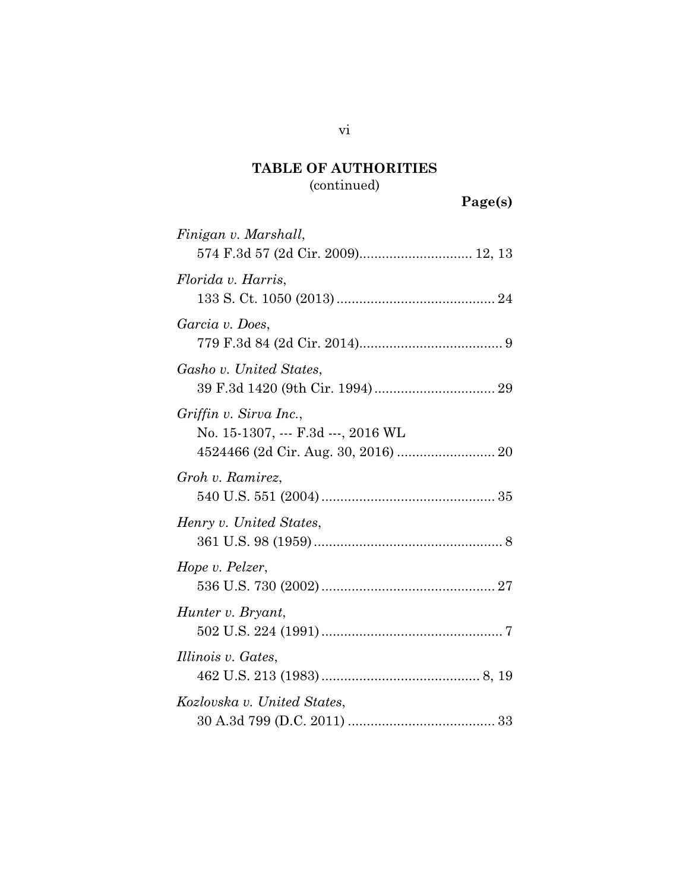# **Page(s)**

| Finigan v. Marshall,<br>574 F.3d 57 (2d Cir. 2009) 12, 13    |
|--------------------------------------------------------------|
| Florida v. Harris,                                           |
| Garcia v. Does,                                              |
| Gasho v. United States,                                      |
| Griffin v. Sirva Inc.,<br>No. 15-1307, --- F.3d ---, 2016 WL |
| Groh v. Ramirez,                                             |
| Henry v. United States,                                      |
| Hope v. Pelzer,                                              |
| Hunter v. Bryant,                                            |
| Illinois v. Gates,                                           |
| Kozlovska v. United States,                                  |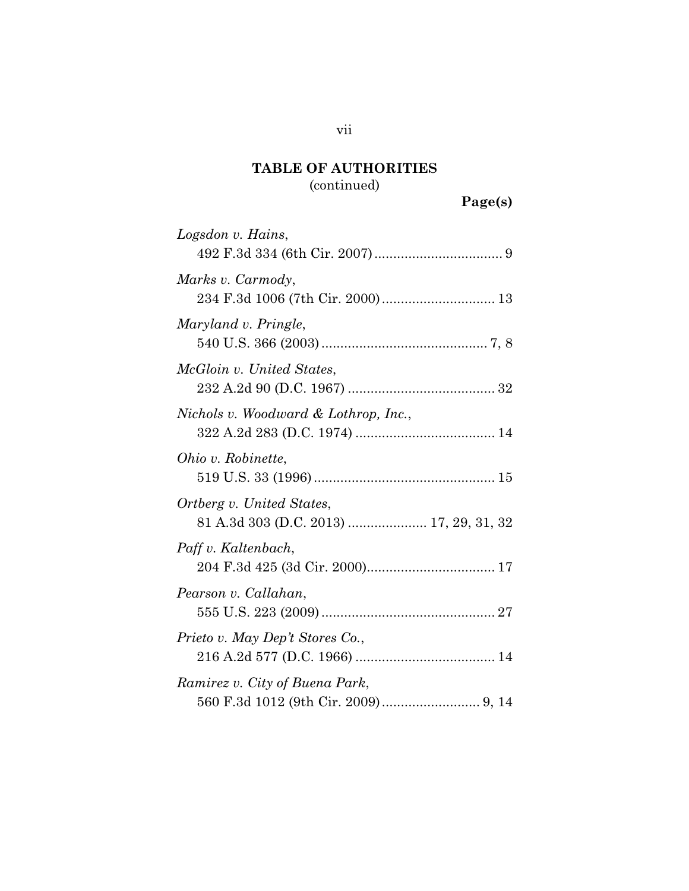# **Page(s)**

| Logsdon v. Hains,                                                    |
|----------------------------------------------------------------------|
| Marks v. Carmody,                                                    |
| Maryland v. Pringle,                                                 |
| McGloin v. United States,                                            |
| Nichols v. Woodward & Lothrop, Inc.,                                 |
| Ohio v. Robinette,                                                   |
| Ortberg v. United States,<br>81 A.3d 303 (D.C. 2013)  17, 29, 31, 32 |
| Paff v. Kaltenbach,                                                  |
| Pearson v. Callahan,                                                 |
| Prieto v. May Dep't Stores Co.,                                      |
| Ramirez v. City of Buena Park,                                       |

## vii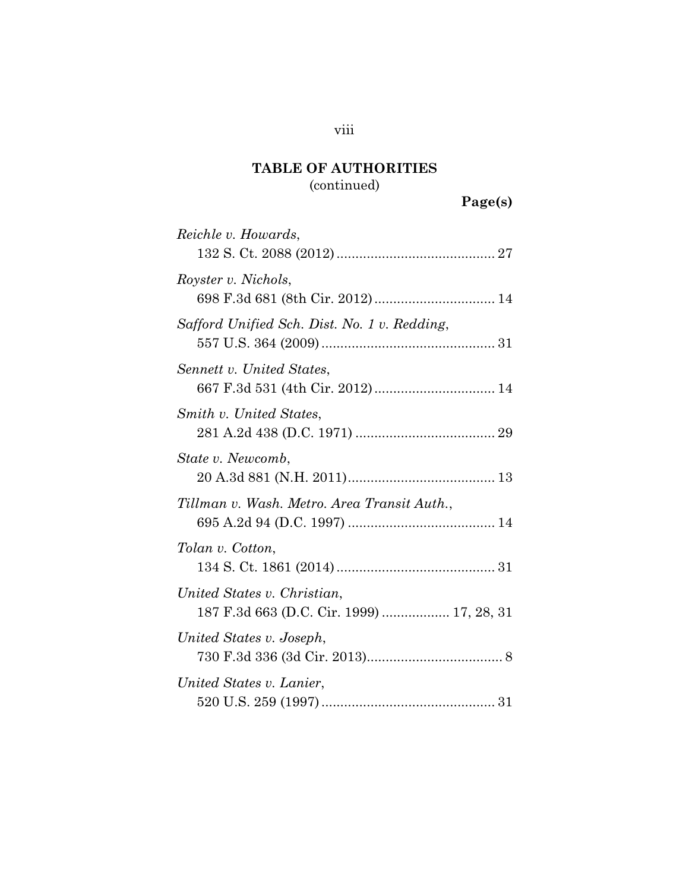# **Page(s)**

| Reichle v. Howards,                                                      |
|--------------------------------------------------------------------------|
| Royster v. Nichols,<br>698 F.3d 681 (8th Cir. 2012)  14                  |
| Safford Unified Sch. Dist. No. 1 v. Redding,                             |
| Sennett v. United States,                                                |
| Smith v. United States,                                                  |
| State v. Newcomb,                                                        |
| Tillman v. Wash. Metro. Area Transit Auth.,                              |
| Tolan v. Cotton,                                                         |
| United States v. Christian,<br>187 F.3d 663 (D.C. Cir. 1999)  17, 28, 31 |
| United States v. Joseph,                                                 |
| United States v. Lanier,                                                 |

## viii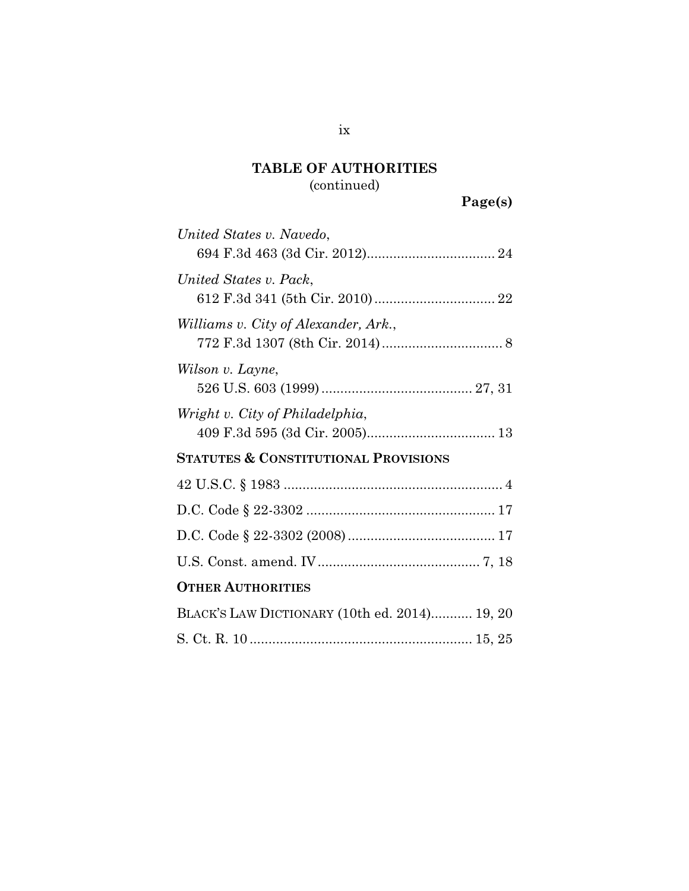# **Page(s)**

| United States v. Navedo,                        |
|-------------------------------------------------|
| United States v. Pack,                          |
| Williams v. City of Alexander, Ark.,            |
| Wilson v. Layne,                                |
| Wright v. City of Philadelphia,                 |
| <b>STATUTES &amp; CONSTITUTIONAL PROVISIONS</b> |
|                                                 |
|                                                 |
|                                                 |
|                                                 |
| <b>OTHER AUTHORITIES</b>                        |
| BLACK'S LAW DICTIONARY (10th ed. 2014) 19, 20   |
|                                                 |

ix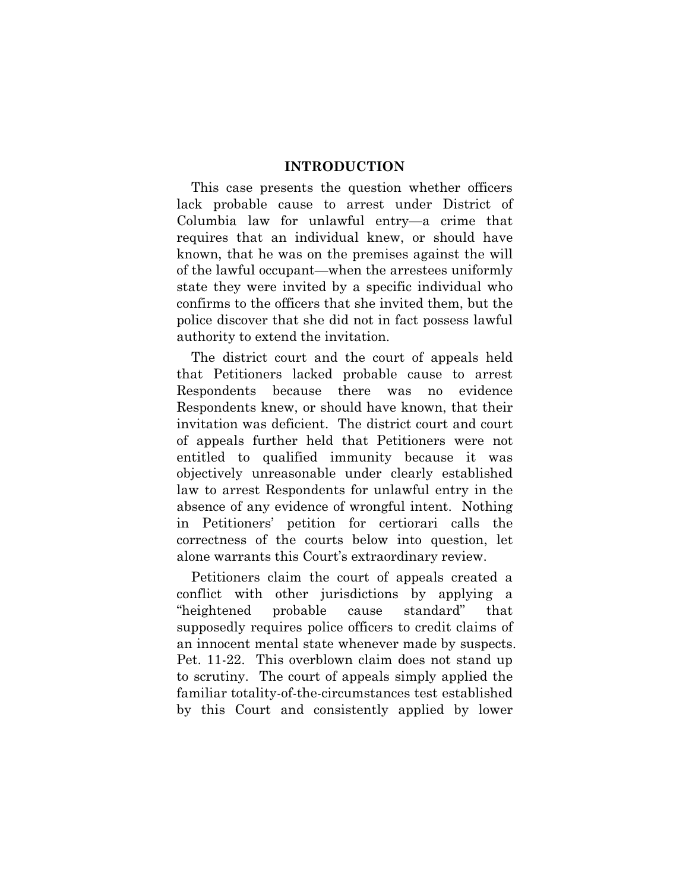### **INTRODUCTION**

This case presents the question whether officers lack probable cause to arrest under District of Columbia law for unlawful entry—a crime that requires that an individual knew, or should have known, that he was on the premises against the will of the lawful occupant—when the arrestees uniformly state they were invited by a specific individual who confirms to the officers that she invited them, but the police discover that she did not in fact possess lawful authority to extend the invitation.

The district court and the court of appeals held that Petitioners lacked probable cause to arrest Respondents because there was no evidence Respondents knew, or should have known, that their invitation was deficient. The district court and court of appeals further held that Petitioners were not entitled to qualified immunity because it was objectively unreasonable under clearly established law to arrest Respondents for unlawful entry in the absence of any evidence of wrongful intent. Nothing in Petitioners' petition for certiorari calls the correctness of the courts below into question, let alone warrants this Court's extraordinary review.

Petitioners claim the court of appeals created a conflict with other jurisdictions by applying a "heightened probable cause standard" that supposedly requires police officers to credit claims of an innocent mental state whenever made by suspects. Pet. 11-22. This overblown claim does not stand up to scrutiny. The court of appeals simply applied the familiar totality-of-the-circumstances test established by this Court and consistently applied by lower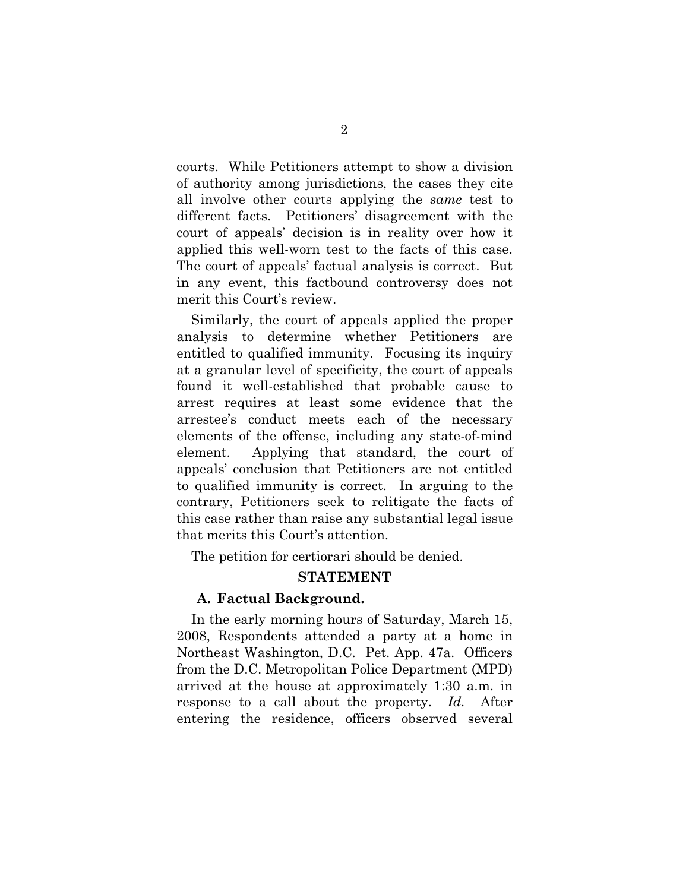courts. While Petitioners attempt to show a division of authority among jurisdictions, the cases they cite all involve other courts applying the *same* test to different facts. Petitioners' disagreement with the court of appeals' decision is in reality over how it applied this well-worn test to the facts of this case. The court of appeals' factual analysis is correct. But in any event, this factbound controversy does not merit this Court's review.

Similarly, the court of appeals applied the proper analysis to determine whether Petitioners are entitled to qualified immunity. Focusing its inquiry at a granular level of specificity, the court of appeals found it well-established that probable cause to arrest requires at least some evidence that the arrestee's conduct meets each of the necessary elements of the offense, including any state-of-mind element. Applying that standard, the court of appeals' conclusion that Petitioners are not entitled to qualified immunity is correct. In arguing to the contrary, Petitioners seek to relitigate the facts of this case rather than raise any substantial legal issue that merits this Court's attention.

The petition for certiorari should be denied.

### **STATEMENT**

### **A. Factual Background.**

In the early morning hours of Saturday, March 15, 2008, Respondents attended a party at a home in Northeast Washington, D.C. Pet. App. 47a. Officers from the D.C. Metropolitan Police Department (MPD) arrived at the house at approximately 1:30 a.m. in response to a call about the property. *Id.* After entering the residence, officers observed several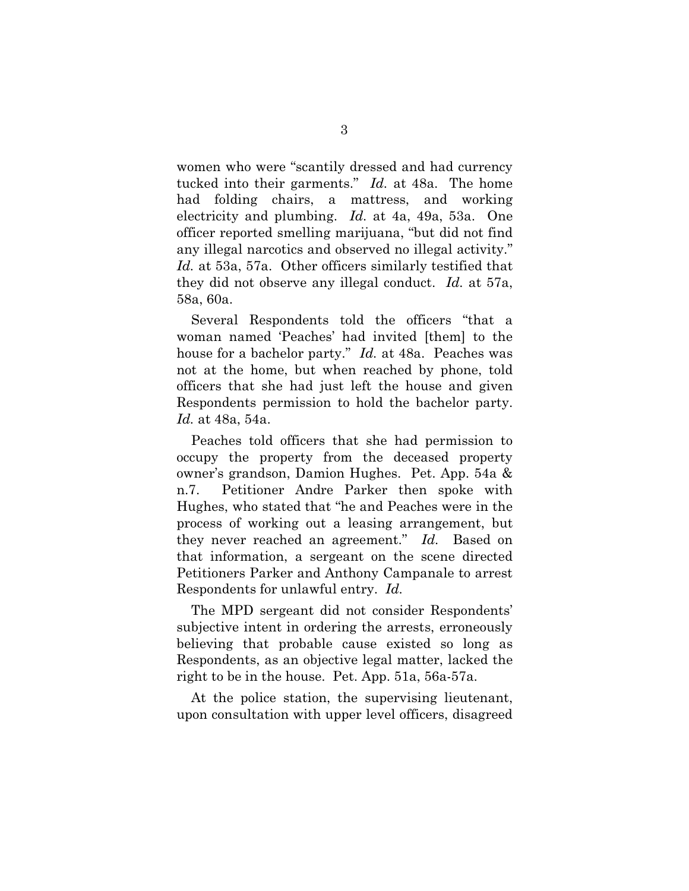women who were "scantily dressed and had currency tucked into their garments." *Id.* at 48a. The home had folding chairs, a mattress, and working electricity and plumbing. *Id.* at 4a, 49a, 53a. One officer reported smelling marijuana, "but did not find any illegal narcotics and observed no illegal activity." *Id.* at 53a, 57a. Other officers similarly testified that they did not observe any illegal conduct. *Id.* at 57a, 58a, 60a.

Several Respondents told the officers "that a woman named 'Peaches' had invited [them] to the house for a bachelor party." *Id.* at 48a. Peaches was not at the home, but when reached by phone, told officers that she had just left the house and given Respondents permission to hold the bachelor party. *Id.* at 48a, 54a.

Peaches told officers that she had permission to occupy the property from the deceased property owner's grandson, Damion Hughes. Pet. App. 54a & n.7. Petitioner Andre Parker then spoke with Hughes, who stated that "he and Peaches were in the process of working out a leasing arrangement, but they never reached an agreement." *Id.* Based on that information, a sergeant on the scene directed Petitioners Parker and Anthony Campanale to arrest Respondents for unlawful entry. *Id.*

The MPD sergeant did not consider Respondents' subjective intent in ordering the arrests, erroneously believing that probable cause existed so long as Respondents, as an objective legal matter, lacked the right to be in the house. Pet. App. 51a, 56a-57a.

At the police station, the supervising lieutenant, upon consultation with upper level officers, disagreed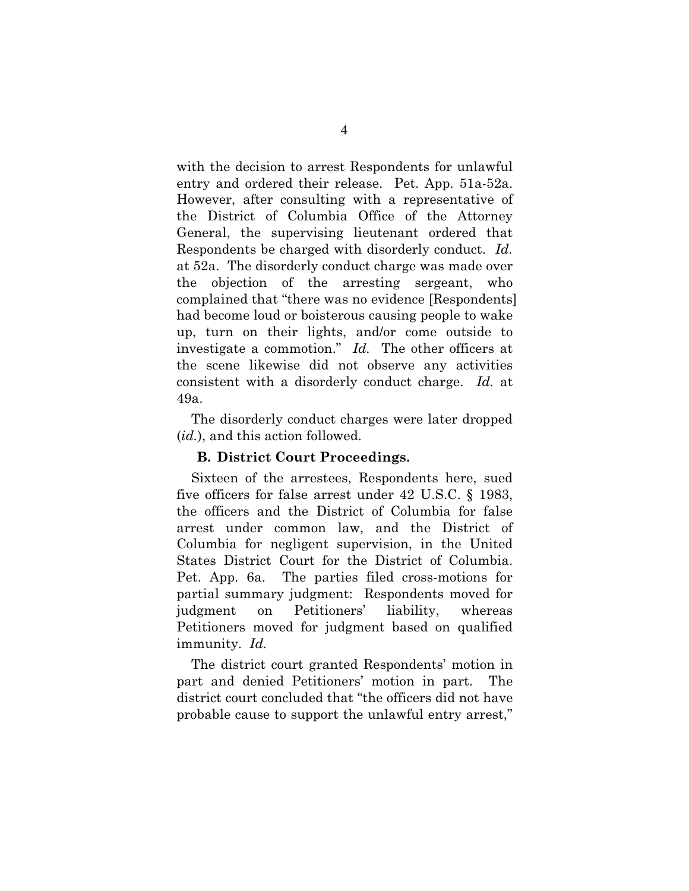with the decision to arrest Respondents for unlawful entry and ordered their release. Pet. App. 51a-52a. However, after consulting with a representative of the District of Columbia Office of the Attorney General, the supervising lieutenant ordered that Respondents be charged with disorderly conduct. *Id.* at 52a. The disorderly conduct charge was made over the objection of the arresting sergeant, who complained that "there was no evidence [Respondents] had become loud or boisterous causing people to wake up, turn on their lights, and/or come outside to investigate a commotion." *Id.* The other officers at the scene likewise did not observe any activities consistent with a disorderly conduct charge. *Id.* at 49a.

The disorderly conduct charges were later dropped (*id.*), and this action followed.

#### <span id="page-13-0"></span>**B. District Court Proceedings.**

Sixteen of the arrestees, Respondents here, sued five officers for false arrest under 42 U.S.C. § 1983, the officers and the District of Columbia for false arrest under common law, and the District of Columbia for negligent supervision, in the United States District Court for the District of Columbia. Pet. App. 6a. The parties filed cross-motions for partial summary judgment: Respondents moved for judgment on Petitioners' liability, whereas Petitioners moved for judgment based on qualified immunity. *Id.*

The district court granted Respondents' motion in part and denied Petitioners' motion in part. The district court concluded that "the officers did not have probable cause to support the unlawful entry arrest,"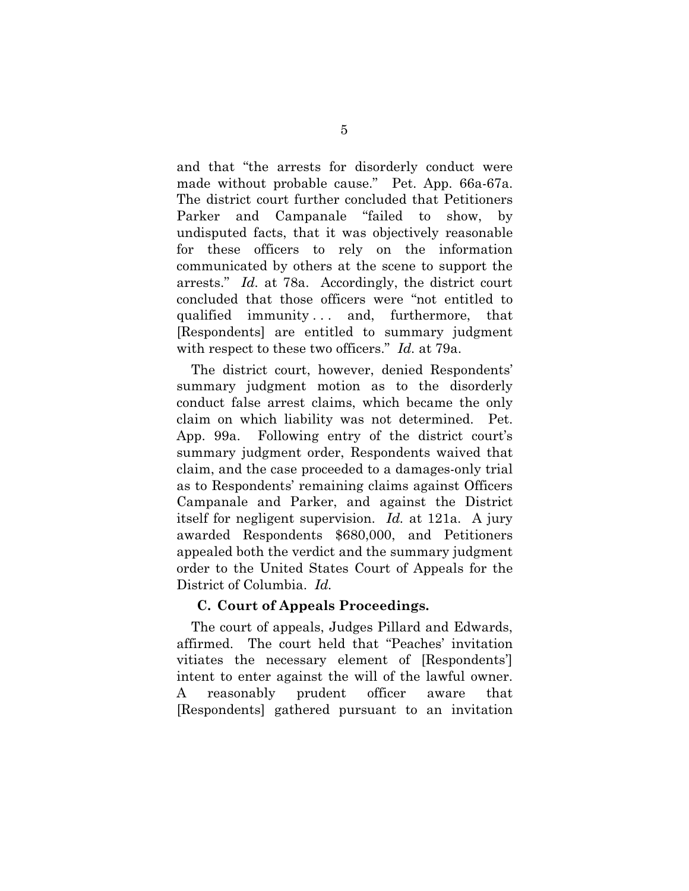and that "the arrests for disorderly conduct were made without probable cause." Pet. App. 66a-67a. The district court further concluded that Petitioners Parker and Campanale "failed to show, by undisputed facts, that it was objectively reasonable for these officers to rely on the information communicated by others at the scene to support the arrests." *Id.* at 78a. Accordingly, the district court concluded that those officers were "not entitled to qualified immunity... and, furthermore, that [Respondents] are entitled to summary judgment with respect to these two officers." *Id.* at 79a.

The district court, however, denied Respondents' summary judgment motion as to the disorderly conduct false arrest claims, which became the only claim on which liability was not determined. Pet. App. 99a. Following entry of the district court's summary judgment order, Respondents waived that claim, and the case proceeded to a damages-only trial as to Respondents' remaining claims against Officers Campanale and Parker, and against the District itself for negligent supervision. *Id.* at 121a. A jury awarded Respondents \$680,000, and Petitioners appealed both the verdict and the summary judgment order to the United States Court of Appeals for the District of Columbia. *Id.*

### **C. Court of Appeals Proceedings.**

The court of appeals, Judges Pillard and Edwards, affirmed. The court held that "Peaches' invitation vitiates the necessary element of [Respondents'] intent to enter against the will of the lawful owner. A reasonably prudent officer aware that [Respondents] gathered pursuant to an invitation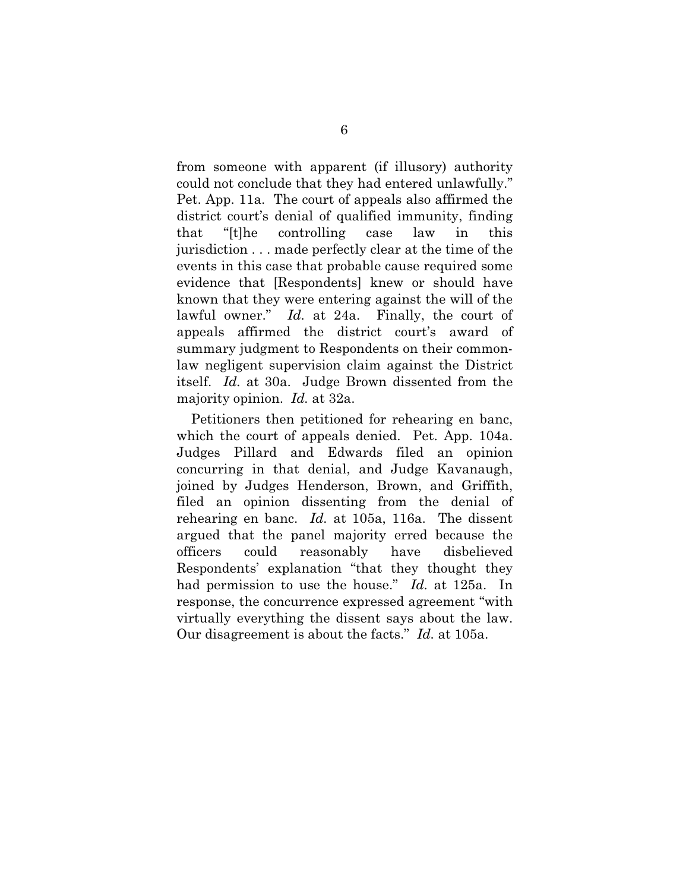from someone with apparent (if illusory) authority could not conclude that they had entered unlawfully." Pet. App. 11a. The court of appeals also affirmed the district court's denial of qualified immunity, finding that "[t]he controlling case law in this jurisdiction . . . made perfectly clear at the time of the events in this case that probable cause required some evidence that [Respondents] knew or should have known that they were entering against the will of the lawful owner." *Id.* at 24a. Finally, the court of appeals affirmed the district court's award of summary judgment to Respondents on their commonlaw negligent supervision claim against the District itself. *Id.* at 30a. Judge Brown dissented from the majority opinion. *Id.* at 32a.

Petitioners then petitioned for rehearing en banc, which the court of appeals denied. Pet. App. 104a. Judges Pillard and Edwards filed an opinion concurring in that denial, and Judge Kavanaugh, joined by Judges Henderson, Brown, and Griffith, filed an opinion dissenting from the denial of rehearing en banc. *Id.* at 105a, 116a. The dissent argued that the panel majority erred because the officers could reasonably have disbelieved Respondents' explanation "that they thought they had permission to use the house." *Id.* at 125a. In response, the concurrence expressed agreement "with virtually everything the dissent says about the law. Our disagreement is about the facts." *Id.* at 105a.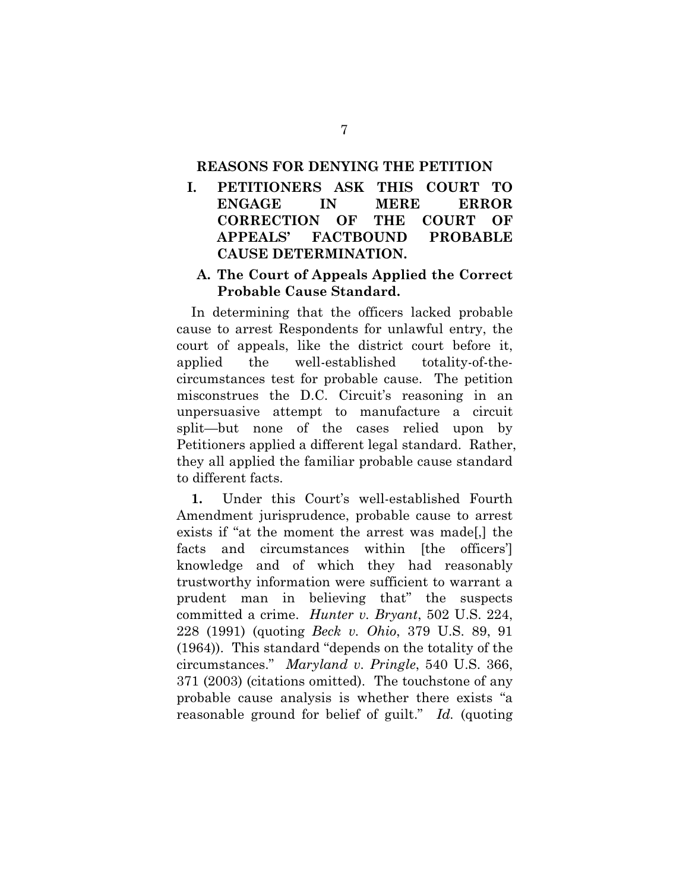### **REASONS FOR DENYING THE PETITION**

**I. PETITIONERS ASK THIS COURT TO ENGAGE IN MERE ERROR CORRECTION OF THE COURT OF APPEALS' FACTBOUND PROBABLE CAUSE DETERMINATION.**

### **A. The Court of Appeals Applied the Correct Probable Cause Standard.**

In determining that the officers lacked probable cause to arrest Respondents for unlawful entry, the court of appeals, like the district court before it, applied the well-established totality-of-thecircumstances test for probable cause. The petition misconstrues the D.C. Circuit's reasoning in an unpersuasive attempt to manufacture a circuit split—but none of the cases relied upon by Petitioners applied a different legal standard. Rather, they all applied the familiar probable cause standard to different facts.

<span id="page-16-1"></span><span id="page-16-0"></span>**1.** Under this Court's well-established Fourth Amendment jurisprudence, probable cause to arrest exists if "at the moment the arrest was made[,] the facts and circumstances within [the officers'] knowledge and of which they had reasonably trustworthy information were sufficient to warrant a prudent man in believing that" the suspects committed a crime. *Hunter v. Bryant*, 502 U.S. 224, 228 (1991) (quoting *Beck v. Ohio*, 379 U.S. 89, 91 (1964)). This standard "depends on the totality of the circumstances." *Maryland v. Pringle*, 540 U.S. 366, 371 (2003) (citations omitted). The touchstone of any probable cause analysis is whether there exists "a reasonable ground for belief of guilt." *Id.* (quoting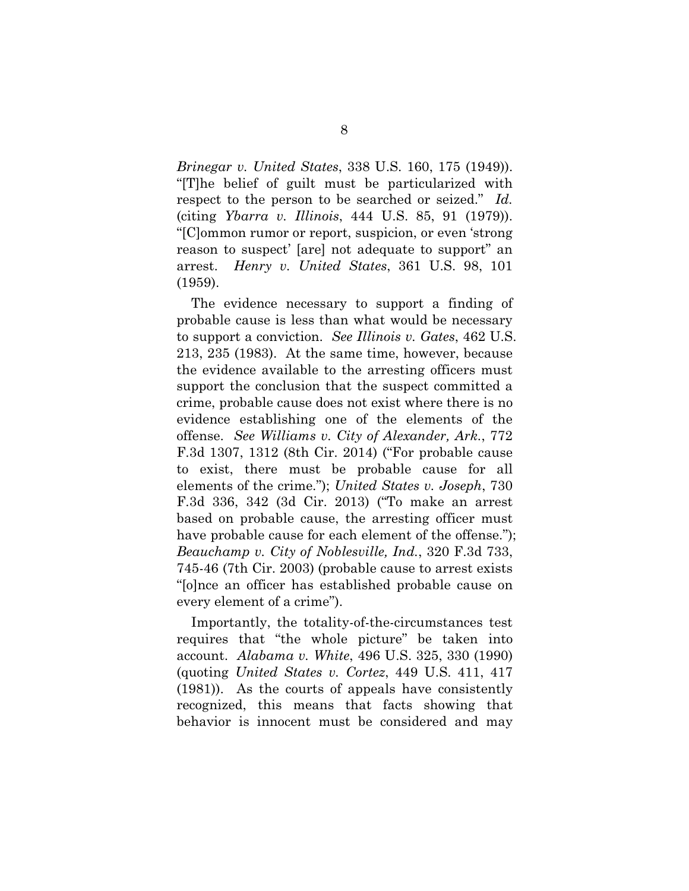<span id="page-17-4"></span>*Brinegar v. United States*, 338 U.S. 160, 175 (1949)). "[T]he belief of guilt must be particularized with respect to the person to be searched or seized." *Id.* (citing *Ybarra v. Illinois*, 444 U.S. 85, 91 (1979)). "[C]ommon rumor or report, suspicion, or even 'strong reason to suspect' [are] not adequate to support" an arrest. *Henry v. United States*, 361 U.S. 98, 101 (1959).

<span id="page-17-6"></span><span id="page-17-3"></span><span id="page-17-2"></span>The evidence necessary to support a finding of probable cause is less than what would be necessary to support a conviction. *See Illinois v. Gates*, 462 U.S. 213, 235 (1983). At the same time, however, because the evidence available to the arresting officers must support the conclusion that the suspect committed a crime, probable cause does not exist where there is no evidence establishing one of the elements of the offense. *See Williams v. City of Alexander, Ark.*, 772 F.3d 1307, 1312 (8th Cir. 2014) ("For probable cause to exist, there must be probable cause for all elements of the crime."); *United States v. Joseph*, 730 F.3d 336, 342 (3d Cir. 2013) ("To make an arrest based on probable cause, the arresting officer must have probable cause for each element of the offense."); *Beauchamp v. City of Noblesville, Ind.*, 320 F.3d 733, 745-46 (7th Cir. 2003) (probable cause to arrest exists "[o]nce an officer has established probable cause on every element of a crime").

<span id="page-17-5"></span><span id="page-17-1"></span><span id="page-17-0"></span>Importantly, the totality-of-the-circumstances test requires that "the whole picture" be taken into account. *Alabama v. White*, 496 U.S. 325, 330 (1990) (quoting *United States v. Cortez*, 449 U.S. 411, 417 (1981)). As the courts of appeals have consistently recognized, this means that facts showing that behavior is innocent must be considered and may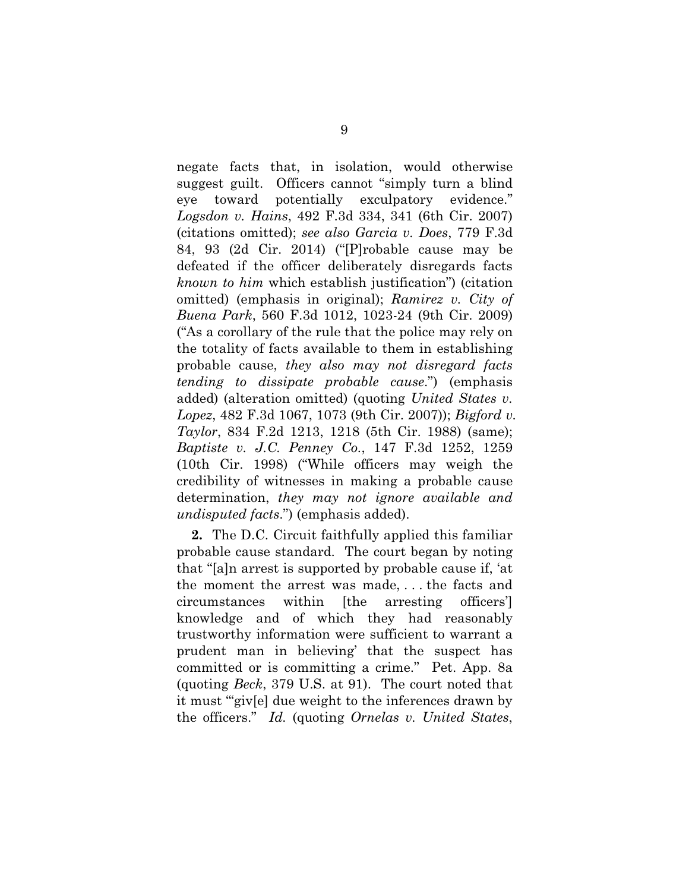<span id="page-18-4"></span><span id="page-18-3"></span><span id="page-18-2"></span>negate facts that, in isolation, would otherwise suggest guilt. Officers cannot "simply turn a blind eye toward potentially exculpatory evidence." *Logsdon v. Hains*, 492 F.3d 334, 341 (6th Cir. 2007) (citations omitted); *see also Garcia v. Does*, 779 F.3d 84, 93 (2d Cir. 2014) ("[P]robable cause may be defeated if the officer deliberately disregards facts *known to him* which establish justification") (citation omitted) (emphasis in original); *Ramirez v. City of Buena Park*, 560 F.3d 1012, 1023-24 (9th Cir. 2009) ("As a corollary of the rule that the police may rely on the totality of facts available to them in establishing probable cause, *they also may not disregard facts tending to dissipate probable cause*.") (emphasis added) (alteration omitted) (quoting *United States v. Lopez*, 482 F.3d 1067, 1073 (9th Cir. 2007)); *Bigford v. Taylor*, 834 F.2d 1213, 1218 (5th Cir. 1988) (same); *Baptiste v. J.C. Penney Co.*, 147 F.3d 1252, 1259 (10th Cir. 1998) ("While officers may weigh the credibility of witnesses in making a probable cause determination, *they may not ignore available and undisputed facts*.") (emphasis added).

<span id="page-18-1"></span><span id="page-18-0"></span>**2.** The D.C. Circuit faithfully applied this familiar probable cause standard. The court began by noting that "[a]n arrest is supported by probable cause if, 'at the moment the arrest was made, . . . the facts and circumstances within [the arresting officers'] knowledge and of which they had reasonably trustworthy information were sufficient to warrant a prudent man in believing' that the suspect has committed or is committing a crime." Pet. App. 8a (quoting *Beck*, 379 U.S. at 91). The court noted that it must "'giv[e] due weight to the inferences drawn by the officers." *Id.* (quoting *Ornelas v. United States*,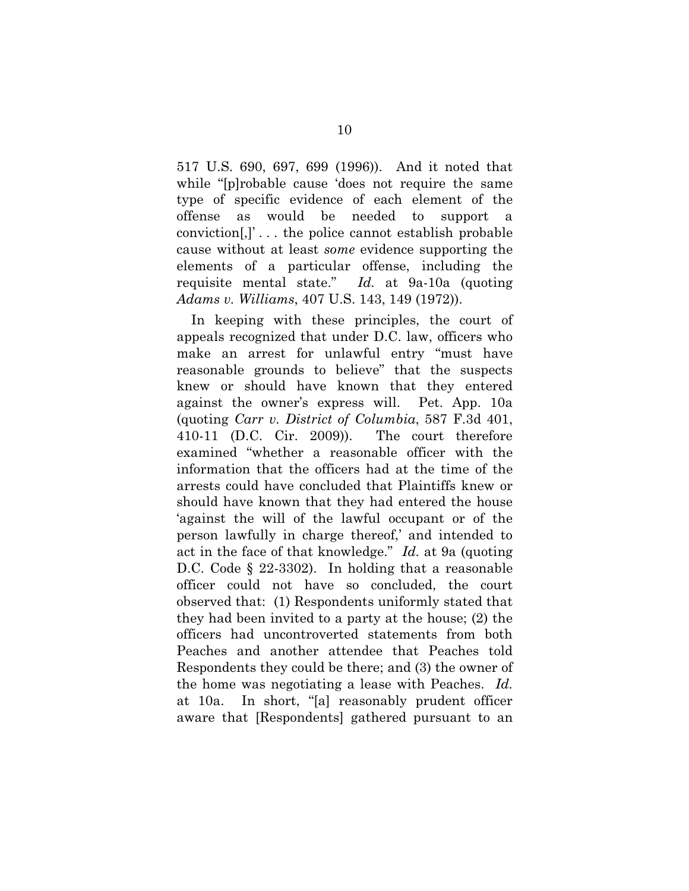517 U.S. 690, 697, 699 (1996)). And it noted that while "[p]robable cause 'does not require the same type of specific evidence of each element of the offense as would be needed to support a conviction[,]' . . . the police cannot establish probable cause without at least *some* evidence supporting the elements of a particular offense, including the requisite mental state." *Id.* at 9a-10a (quoting *Adams v. Williams*, 407 U.S. 143, 149 (1972)).

In keeping with these principles, the court of appeals recognized that under D.C. law, officers who make an arrest for unlawful entry "must have reasonable grounds to believe" that the suspects knew or should have known that they entered against the owner's express will. Pet. App. 10a (quoting *Carr v. District of Columbia*, 587 F.3d 401, 410-11 (D.C. Cir. 2009)). The court therefore examined "whether a reasonable officer with the information that the officers had at the time of the arrests could have concluded that Plaintiffs knew or should have known that they had entered the house 'against the will of the lawful occupant or of the person lawfully in charge thereof,' and intended to act in the face of that knowledge." *Id.* at 9a (quoting D.C. Code § 22-3302). In holding that a reasonable officer could not have so concluded, the court observed that: (1) Respondents uniformly stated that they had been invited to a party at the house; (2) the officers had uncontroverted statements from both Peaches and another attendee that Peaches told Respondents they could be there; and (3) the owner of the home was negotiating a lease with Peaches. *Id.* at 10a. In short, "[a] reasonably prudent officer aware that [Respondents] gathered pursuant to an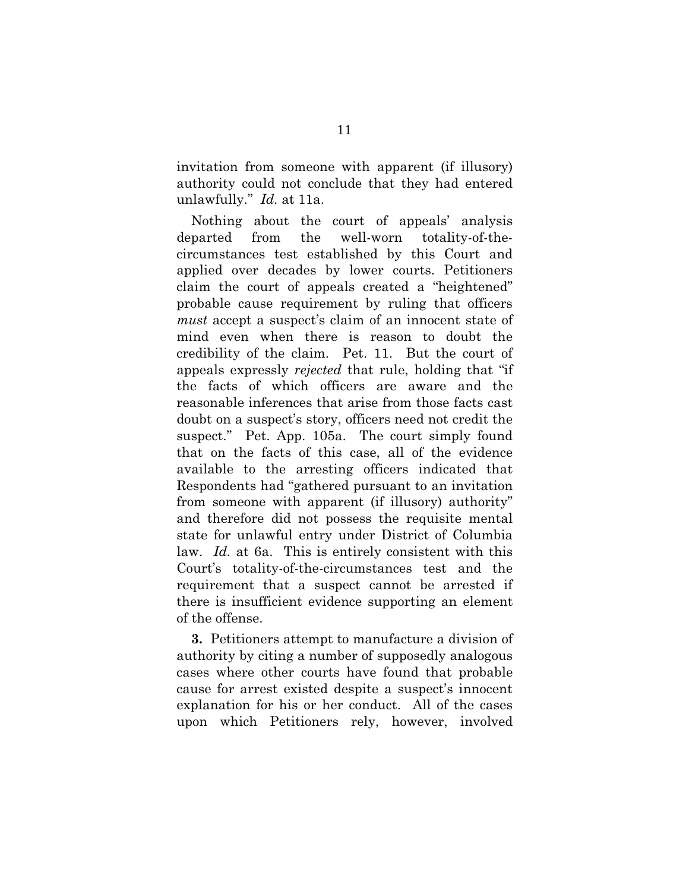invitation from someone with apparent (if illusory) authority could not conclude that they had entered unlawfully." *Id.* at 11a.

Nothing about the court of appeals' analysis departed from the well-worn totality-of-thecircumstances test established by this Court and applied over decades by lower courts. Petitioners claim the court of appeals created a "heightened" probable cause requirement by ruling that officers *must* accept a suspect's claim of an innocent state of mind even when there is reason to doubt the credibility of the claim. Pet. 11. But the court of appeals expressly *rejected* that rule, holding that "if the facts of which officers are aware and the reasonable inferences that arise from those facts cast doubt on a suspect's story, officers need not credit the suspect." Pet. App. 105a. The court simply found that on the facts of this case, all of the evidence available to the arresting officers indicated that Respondents had "gathered pursuant to an invitation from someone with apparent (if illusory) authority" and therefore did not possess the requisite mental state for unlawful entry under District of Columbia law. *Id.* at 6a. This is entirely consistent with this Court's totality-of-the-circumstances test and the requirement that a suspect cannot be arrested if there is insufficient evidence supporting an element of the offense.

**3.** Petitioners attempt to manufacture a division of authority by citing a number of supposedly analogous cases where other courts have found that probable cause for arrest existed despite a suspect's innocent explanation for his or her conduct. All of the cases upon which Petitioners rely, however, involved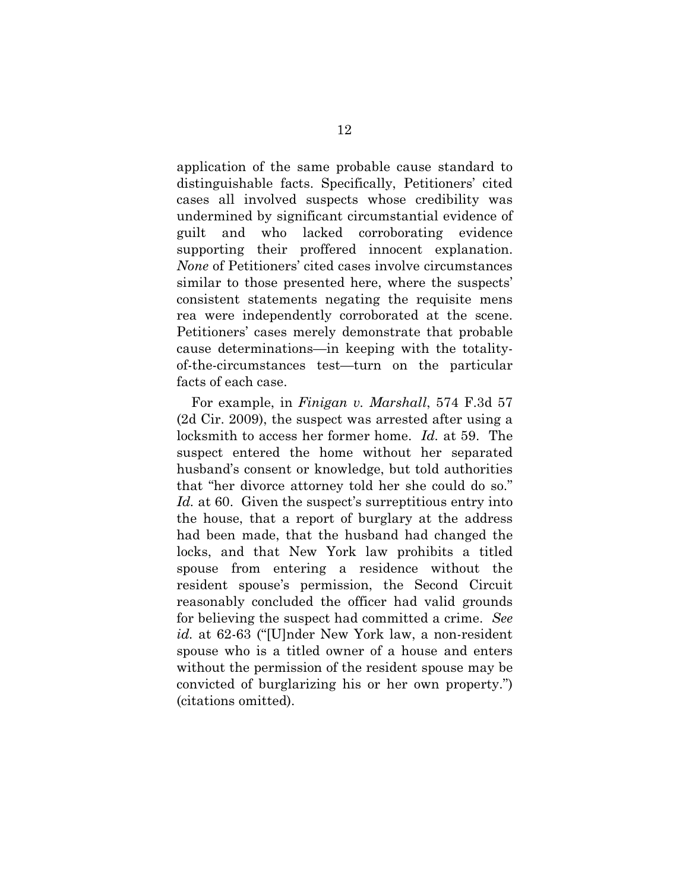application of the same probable cause standard to distinguishable facts. Specifically, Petitioners' cited cases all involved suspects whose credibility was undermined by significant circumstantial evidence of guilt and who lacked corroborating evidence supporting their proffered innocent explanation. *None* of Petitioners' cited cases involve circumstances similar to those presented here, where the suspects' consistent statements negating the requisite mens rea were independently corroborated at the scene. Petitioners' cases merely demonstrate that probable cause determinations—in keeping with the totalityof-the-circumstances test—turn on the particular facts of each case.

<span id="page-21-0"></span>For example, in *Finigan v. Marshall*, 574 F.3d 57 (2d Cir. 2009), the suspect was arrested after using a locksmith to access her former home. *Id.* at 59. The suspect entered the home without her separated husband's consent or knowledge, but told authorities that "her divorce attorney told her she could do so." Id. at 60. Given the suspect's surreptitious entry into the house, that a report of burglary at the address had been made, that the husband had changed the locks, and that New York law prohibits a titled spouse from entering a residence without the resident spouse's permission, the Second Circuit reasonably concluded the officer had valid grounds for believing the suspect had committed a crime. *See id.* at 62-63 ("[U]nder New York law, a non-resident spouse who is a titled owner of a house and enters without the permission of the resident spouse may be convicted of burglarizing his or her own property.") (citations omitted).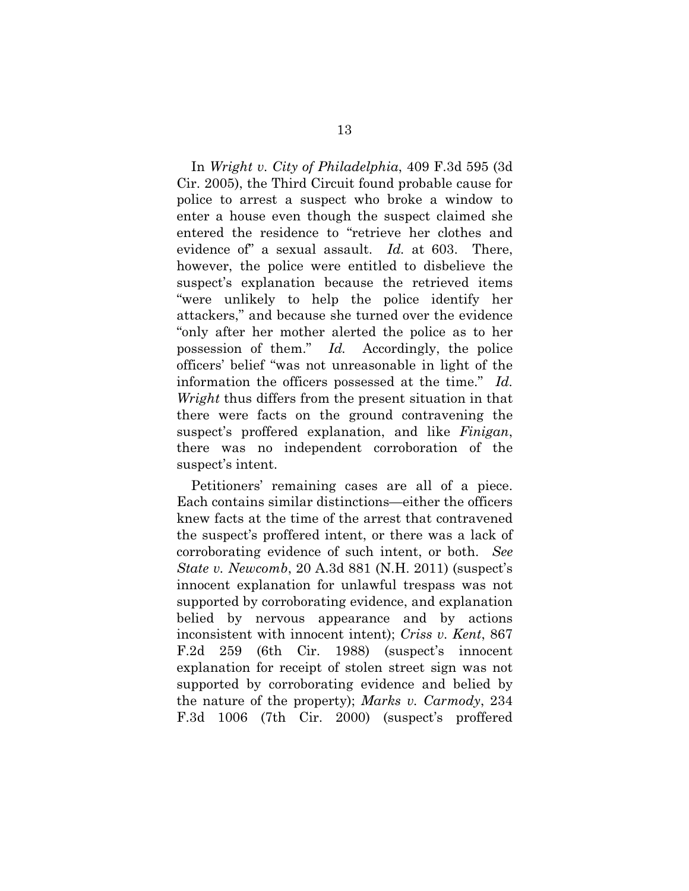<span id="page-22-4"></span>In *Wright v. City of Philadelphia*, 409 F.3d 595 (3d Cir. 2005), the Third Circuit found probable cause for police to arrest a suspect who broke a window to enter a house even though the suspect claimed she entered the residence to "retrieve her clothes and evidence of" a sexual assault. *Id.* at 603. There, however, the police were entitled to disbelieve the suspect's explanation because the retrieved items "were unlikely to help the police identify her attackers," and because she turned over the evidence "only after her mother alerted the police as to her possession of them." *Id.* Accordingly, the police officers' belief "was not unreasonable in light of the information the officers possessed at the time." *Id. Wright* thus differs from the present situation in that there were facts on the ground contravening the suspect's proffered explanation, and like *Finigan*, there was no independent corroboration of the suspect's intent.

<span id="page-22-3"></span><span id="page-22-2"></span><span id="page-22-1"></span><span id="page-22-0"></span>Petitioners' remaining cases are all of a piece. Each contains similar distinctions—either the officers knew facts at the time of the arrest that contravened the suspect's proffered intent, or there was a lack of corroborating evidence of such intent, or both. *See State v. Newcomb*, 20 A.3d 881 (N.H. 2011) (suspect's innocent explanation for unlawful trespass was not supported by corroborating evidence, and explanation belied by nervous appearance and by actions inconsistent with innocent intent); *Criss v. Kent*, 867 F.2d 259 (6th Cir. 1988) (suspect's innocent explanation for receipt of stolen street sign was not supported by corroborating evidence and belied by the nature of the property); *Marks v. Carmody*, 234 F.3d 1006 (7th Cir. 2000) (suspect's proffered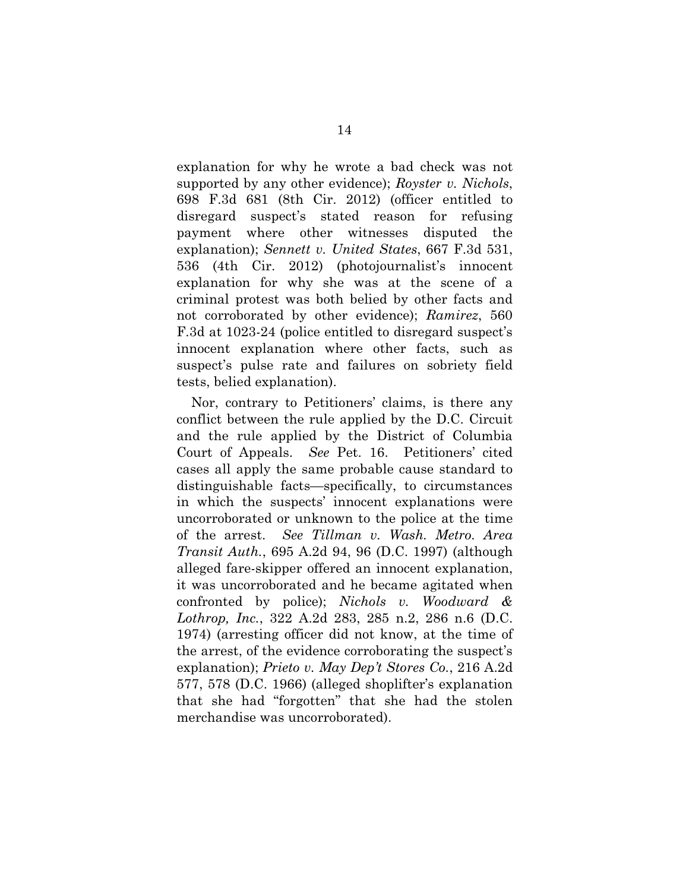<span id="page-23-4"></span><span id="page-23-3"></span>explanation for why he wrote a bad check was not supported by any other evidence); *Royster v. Nichols*, 698 F.3d 681 (8th Cir. 2012) (officer entitled to disregard suspect's stated reason for refusing payment where other witnesses disputed the explanation); *Sennett v. United States*, 667 F.3d 531, 536 (4th Cir. 2012) (photojournalist's innocent explanation for why she was at the scene of a criminal protest was both belied by other facts and not corroborated by other evidence); *Ramirez*, 560 F.3d at 1023-24 (police entitled to disregard suspect's innocent explanation where other facts, such as suspect's pulse rate and failures on sobriety field tests, belied explanation).

<span id="page-23-5"></span><span id="page-23-2"></span><span id="page-23-1"></span><span id="page-23-0"></span>Nor, contrary to Petitioners' claims, is there any conflict between the rule applied by the D.C. Circuit and the rule applied by the District of Columbia Court of Appeals. *See* Pet. 16. Petitioners' cited cases all apply the same probable cause standard to distinguishable facts—specifically, to circumstances in which the suspects' innocent explanations were uncorroborated or unknown to the police at the time of the arrest. *See Tillman v. Wash. Metro. Area Transit Auth.*, 695 A.2d 94, 96 (D.C. 1997) (although alleged fare-skipper offered an innocent explanation, it was uncorroborated and he became agitated when confronted by police); *Nichols v. Woodward & Lothrop, Inc.*, 322 A.2d 283, 285 n.2, 286 n.6 (D.C. 1974) (arresting officer did not know, at the time of the arrest, of the evidence corroborating the suspect's explanation); *Prieto v. May Dep't Stores Co.*, 216 A.2d 577, 578 (D.C. 1966) (alleged shoplifter's explanation that she had "forgotten" that she had the stolen merchandise was uncorroborated).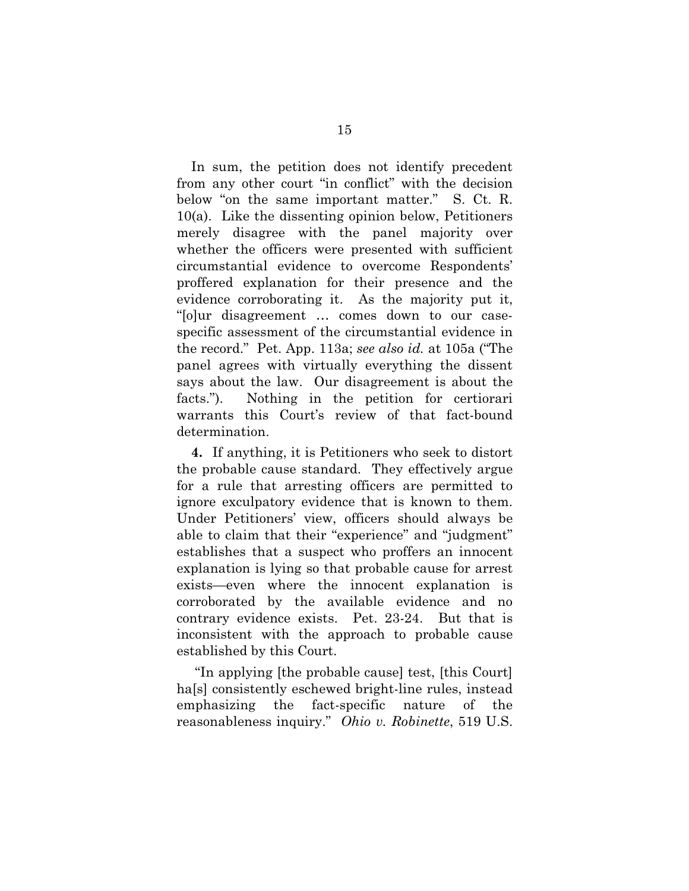<span id="page-24-1"></span>In sum, the petition does not identify precedent from any other court "in conflict" with the decision below "on the same important matter." S. Ct. R. 10(a). Like the dissenting opinion below, Petitioners merely disagree with the panel majority over whether the officers were presented with sufficient circumstantial evidence to overcome Respondents' proffered explanation for their presence and the evidence corroborating it. As the majority put it, "[o]ur disagreement … comes down to our casespecific assessment of the circumstantial evidence in the record." Pet. App. 113a; *see also id.* at 105a ("The panel agrees with virtually everything the dissent says about the law. Our disagreement is about the facts."). Nothing in the petition for certiorari warrants this Court's review of that fact-bound determination.

**4.** If anything, it is Petitioners who seek to distort the probable cause standard. They effectively argue for a rule that arresting officers are permitted to ignore exculpatory evidence that is known to them. Under Petitioners' view, officers should always be able to claim that their "experience" and "judgment" establishes that a suspect who proffers an innocent explanation is lying so that probable cause for arrest exists—even where the innocent explanation is corroborated by the available evidence and no contrary evidence exists. Pet. 23-24. But that is inconsistent with the approach to probable cause established by this Court.

<span id="page-24-0"></span>"In applying [the probable cause] test, [this Court] ha<sup>[s]</sup> consistently eschewed bright-line rules, instead emphasizing the fact-specific nature of the reasonableness inquiry." *Ohio v. Robinette*, 519 U.S.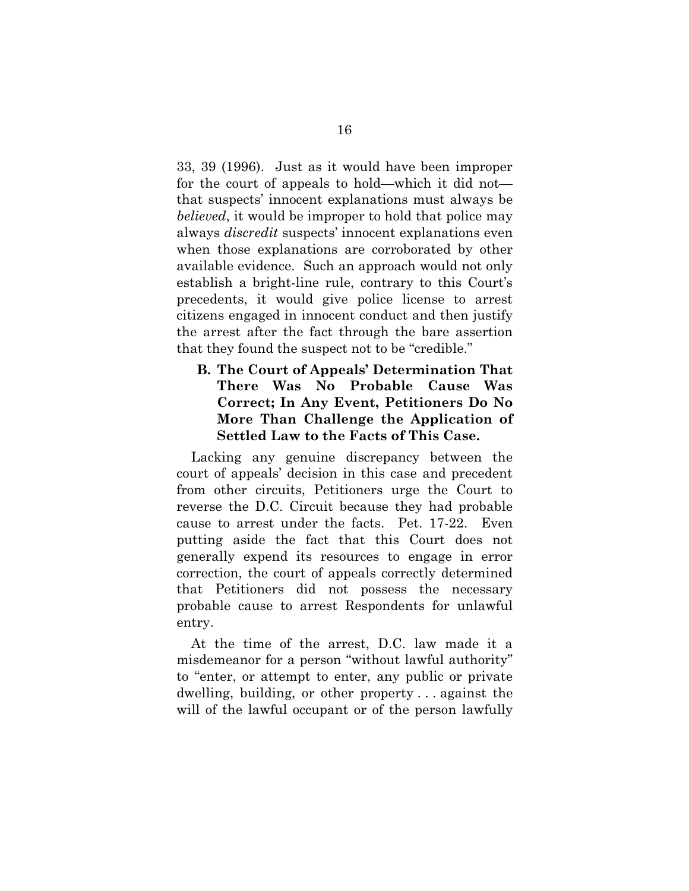33, 39 (1996). Just as it would have been improper for the court of appeals to hold—which it did not that suspects' innocent explanations must always be *believed*, it would be improper to hold that police may always *discredit* suspects' innocent explanations even when those explanations are corroborated by other available evidence. Such an approach would not only establish a bright-line rule, contrary to this Court's precedents, it would give police license to arrest citizens engaged in innocent conduct and then justify the arrest after the fact through the bare assertion that they found the suspect not to be "credible."

**B. The Court of Appeals' Determination That There Was No Probable Cause Was Correct; In Any Event, Petitioners Do No More Than Challenge the Application of Settled Law to the Facts of This Case.**

Lacking any genuine discrepancy between the court of appeals' decision in this case and precedent from other circuits, Petitioners urge the Court to reverse the D.C. Circuit because they had probable cause to arrest under the facts. Pet. 17-22. Even putting aside the fact that this Court does not generally expend its resources to engage in error correction, the court of appeals correctly determined that Petitioners did not possess the necessary probable cause to arrest Respondents for unlawful entry.

At the time of the arrest, D.C. law made it a misdemeanor for a person "without lawful authority" to "enter, or attempt to enter, any public or private dwelling, building, or other property . . . against the will of the lawful occupant or of the person lawfully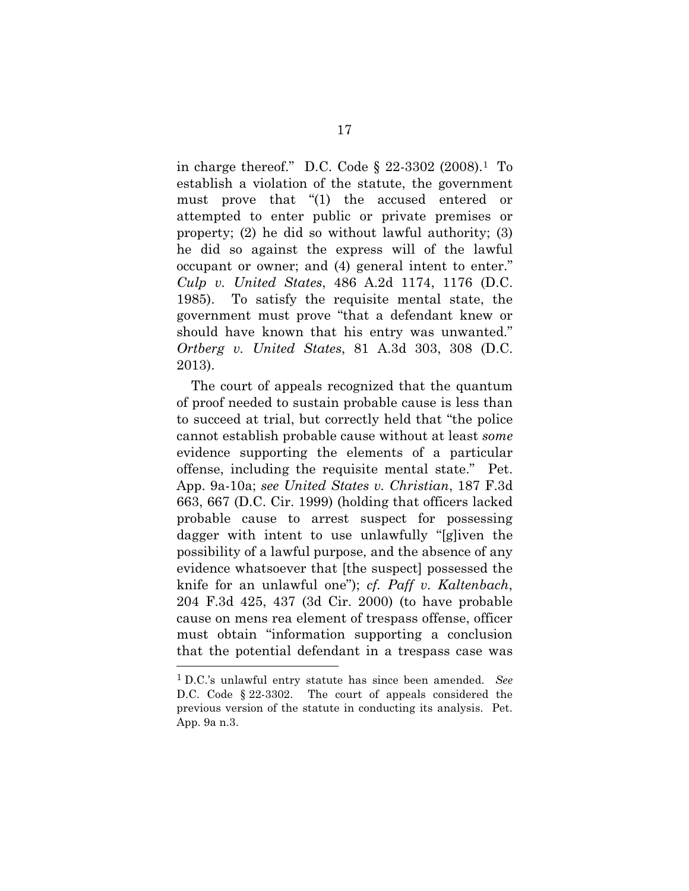<span id="page-26-4"></span>in charge thereof." D.C. Code § 22-3302 (2008)[.1](#page-26-5) To establish a violation of the statute, the government must prove that "(1) the accused entered or attempted to enter public or private premises or property; (2) he did so without lawful authority; (3) he did so against the express will of the lawful occupant or owner; and (4) general intent to enter." *Culp v. United States*, 486 A.2d 1174, 1176 (D.C. 1985). To satisfy the requisite mental state, the government must prove "that a defendant knew or should have known that his entry was unwanted." *Ortberg v. United States*, 81 A.3d 303, 308 (D.C. 2013).

<span id="page-26-3"></span><span id="page-26-1"></span><span id="page-26-0"></span>The court of appeals recognized that the quantum of proof needed to sustain probable cause is less than to succeed at trial, but correctly held that "the police cannot establish probable cause without at least *some* evidence supporting the elements of a particular offense, including the requisite mental state." Pet. App. 9a-10a; *see United States v. Christian*, 187 F.3d 663, 667 (D.C. Cir. 1999) (holding that officers lacked probable cause to arrest suspect for possessing dagger with intent to use unlawfully "[g]iven the possibility of a lawful purpose, and the absence of any evidence whatsoever that [the suspect] possessed the knife for an unlawful one"); *cf. Paff v. Kaltenbach*, 204 F.3d 425, 437 (3d Cir. 2000) (to have probable cause on mens rea element of trespass offense, officer must obtain "information supporting a conclusion that the potential defendant in a trespass case was <u>.</u>

<span id="page-26-5"></span><span id="page-26-2"></span><sup>1</sup> D.C.'s unlawful entry statute has since been amended. *See* D.C. Code § 22-3302. The court of appeals considered the previous version of the statute in conducting its analysis. Pet. App. 9a n.3.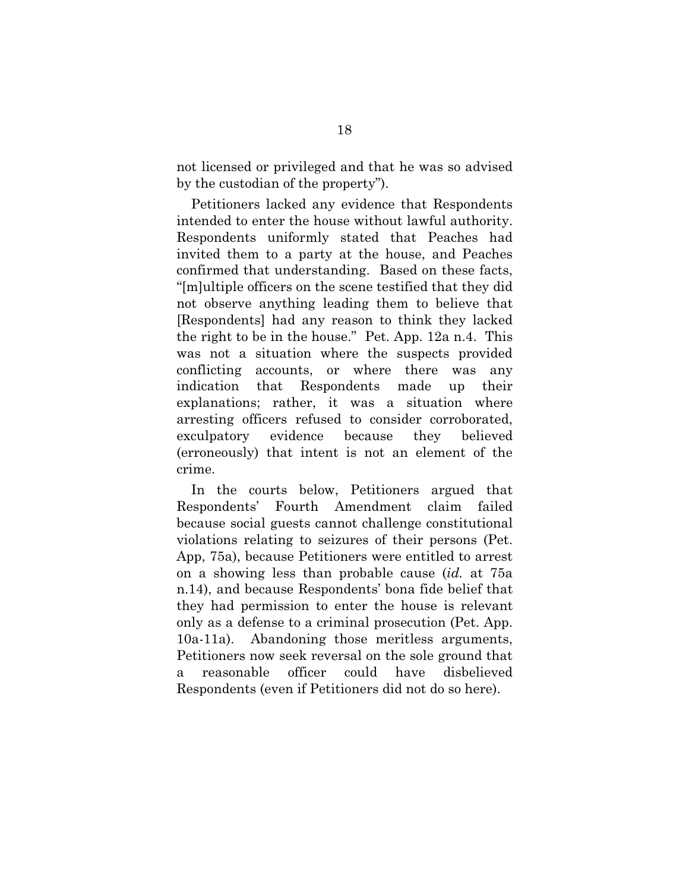not licensed or privileged and that he was so advised by the custodian of the property").

Petitioners lacked any evidence that Respondents intended to enter the house without lawful authority. Respondents uniformly stated that Peaches had invited them to a party at the house, and Peaches confirmed that understanding. Based on these facts, "[m]ultiple officers on the scene testified that they did not observe anything leading them to believe that [Respondents] had any reason to think they lacked the right to be in the house." Pet. App. 12a n.4. This was not a situation where the suspects provided conflicting accounts, or where there was any indication that Respondents made up their explanations; rather, it was a situation where arresting officers refused to consider corroborated, exculpatory evidence because they believed (erroneously) that intent is not an element of the crime.

In the courts below, Petitioners argued that Respondents' Fourth Amendment claim failed because social guests cannot challenge constitutional violations relating to seizures of their persons (Pet. App, 75a), because Petitioners were entitled to arrest on a showing less than probable cause (*id.* at 75a n.14), and because Respondents' bona fide belief that they had permission to enter the house is relevant only as a defense to a criminal prosecution (Pet. App. 10a-11a). Abandoning those meritless arguments, Petitioners now seek reversal on the sole ground that a reasonable officer could have disbelieved Respondents (even if Petitioners did not do so here).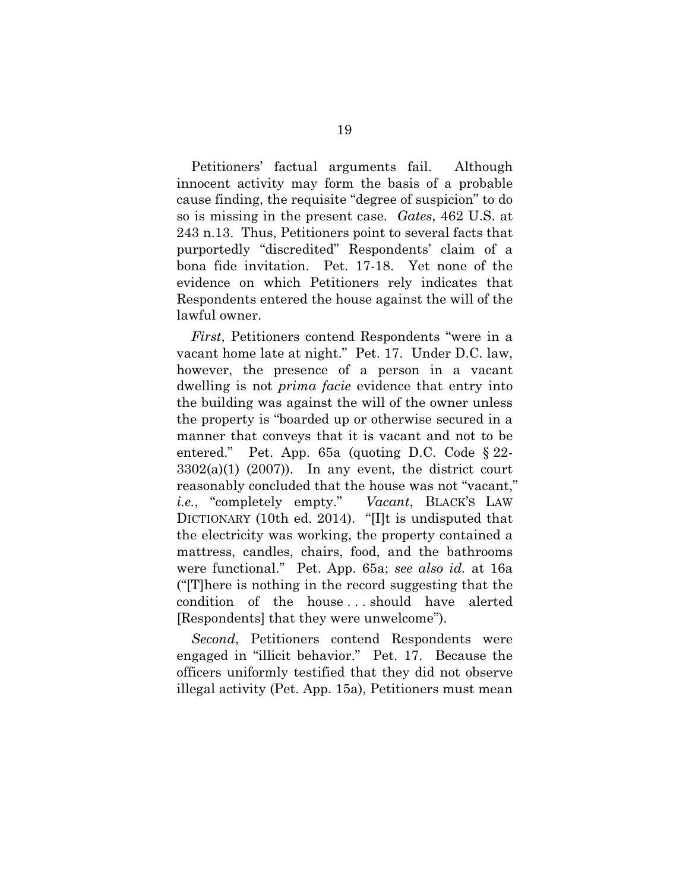<span id="page-28-0"></span>Petitioners' factual arguments fail. Although innocent activity may form the basis of a probable cause finding, the requisite "degree of suspicion" to do so is missing in the present case. *Gates*, 462 U.S. at 243 n.13. Thus, Petitioners point to several facts that purportedly "discredited" Respondents' claim of a bona fide invitation. Pet. 17-18. Yet none of the evidence on which Petitioners rely indicates that Respondents entered the house against the will of the lawful owner.

*First*, Petitioners contend Respondents "were in a vacant home late at night." Pet. 17. Under D.C. law, however, the presence of a person in a vacant dwelling is not *prima facie* evidence that entry into the building was against the will of the owner unless the property is "boarded up or otherwise secured in a manner that conveys that it is vacant and not to be entered." Pet. App. 65a (quoting D.C. Code § 22-  $3302(a)(1)$   $(2007)$ ). In any event, the district court reasonably concluded that the house was not "vacant," *i.e.*, "completely empty." *Vacant*, BLACK'S LAW DICTIONARY (10th ed. 2014). "[I]t is undisputed that the electricity was working, the property contained a mattress, candles, chairs, food, and the bathrooms were functional." Pet. App. 65a; *see also id.* at 16a ("[T]here is nothing in the record suggesting that the condition of the house . . . should have alerted [Respondents] that they were unwelcome").

*Second*, Petitioners contend Respondents were engaged in "illicit behavior." Pet. 17. Because the officers uniformly testified that they did not observe illegal activity (Pet. App. 15a), Petitioners must mean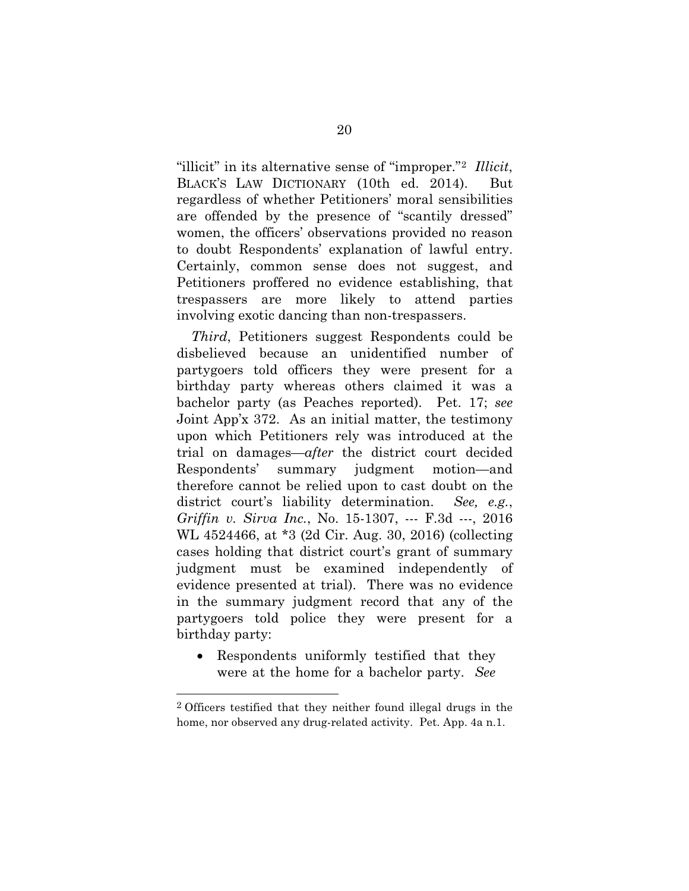<span id="page-29-1"></span>"illicit" in its alternative sense of "improper."[2](#page-29-2) *Illicit*, BLACK'S LAW DICTIONARY (10th ed. 2014). But regardless of whether Petitioners' moral sensibilities are offended by the presence of "scantily dressed" women, the officers' observations provided no reason to doubt Respondents' explanation of lawful entry. Certainly, common sense does not suggest, and Petitioners proffered no evidence establishing, that trespassers are more likely to attend parties involving exotic dancing than non-trespassers.

*Third*, Petitioners suggest Respondents could be disbelieved because an unidentified number of partygoers told officers they were present for a birthday party whereas others claimed it was a bachelor party (as Peaches reported). Pet. 17; *see*  Joint App'x 372. As an initial matter, the testimony upon which Petitioners rely was introduced at the trial on damages—*after* the district court decided Respondents' summary judgment motion—and therefore cannot be relied upon to cast doubt on the district court's liability determination. *See, e.g.*, *Griffin v. Sirva Inc.*, No. 15-1307, --- F.3d ---, 2016 WL 4524466, at \*3 (2d Cir. Aug. 30, 2016) (collecting cases holding that district court's grant of summary judgment must be examined independently of evidence presented at trial). There was no evidence in the summary judgment record that any of the partygoers told police they were present for a birthday party:

<span id="page-29-0"></span>• Respondents uniformly testified that they were at the home for a bachelor party. *See* 

1

<span id="page-29-2"></span><sup>2</sup> Officers testified that they neither found illegal drugs in the home, nor observed any drug-related activity. Pet. App. 4a n.1.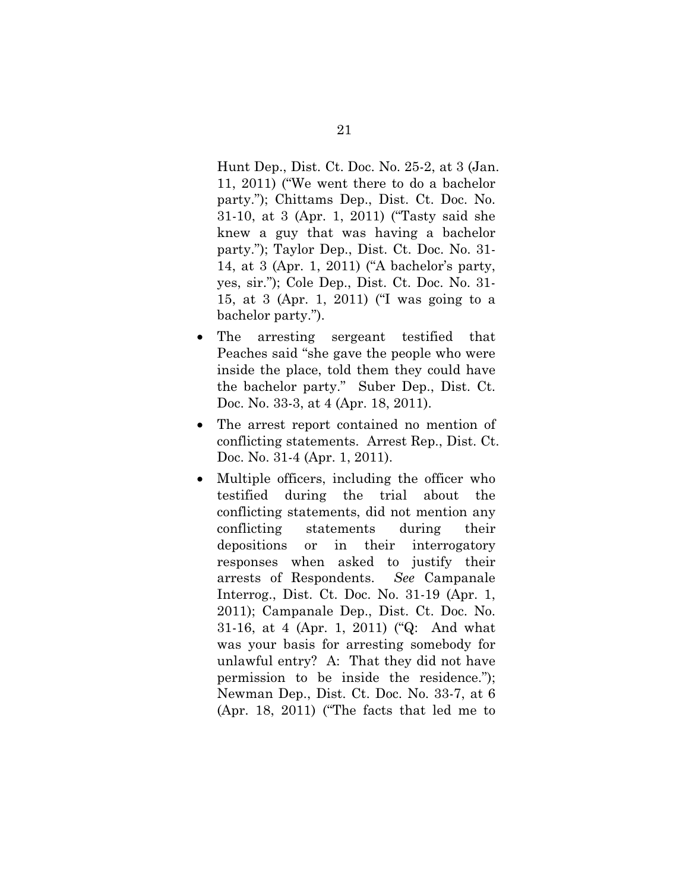Hunt Dep., Dist. Ct. Doc. No. 25-2, at 3 (Jan. 11, 2011) ("We went there to do a bachelor party."); Chittams Dep., Dist. Ct. Doc. No. 31-10, at 3 (Apr. 1, 2011) ("Tasty said she knew a guy that was having a bachelor party."); Taylor Dep., Dist. Ct. Doc. No. 31- 14, at 3 (Apr. 1, 2011) ("A bachelor's party, yes, sir."); Cole Dep., Dist. Ct. Doc. No. 31- 15, at 3 (Apr. 1, 2011) ("I was going to a bachelor party.").

- The arresting sergeant testified that Peaches said "she gave the people who were inside the place, told them they could have the bachelor party." Suber Dep., Dist. Ct. Doc. No. 33-3, at 4 (Apr. 18, 2011).
- The arrest report contained no mention of conflicting statements. Arrest Rep., Dist. Ct. Doc. No. 31-4 (Apr. 1, 2011).
- Multiple officers, including the officer who testified during the trial about the conflicting statements, did not mention any conflicting statements during their depositions or in their interrogatory responses when asked to justify their arrests of Respondents. *See* Campanale Interrog., Dist. Ct. Doc. No. 31-19 (Apr. 1, 2011); Campanale Dep., Dist. Ct. Doc. No. 31-16, at 4 (Apr. 1, 2011) ("Q: And what was your basis for arresting somebody for unlawful entry? A: That they did not have permission to be inside the residence."); Newman Dep., Dist. Ct. Doc. No. 33-7, at 6 (Apr. 18, 2011) ("The facts that led me to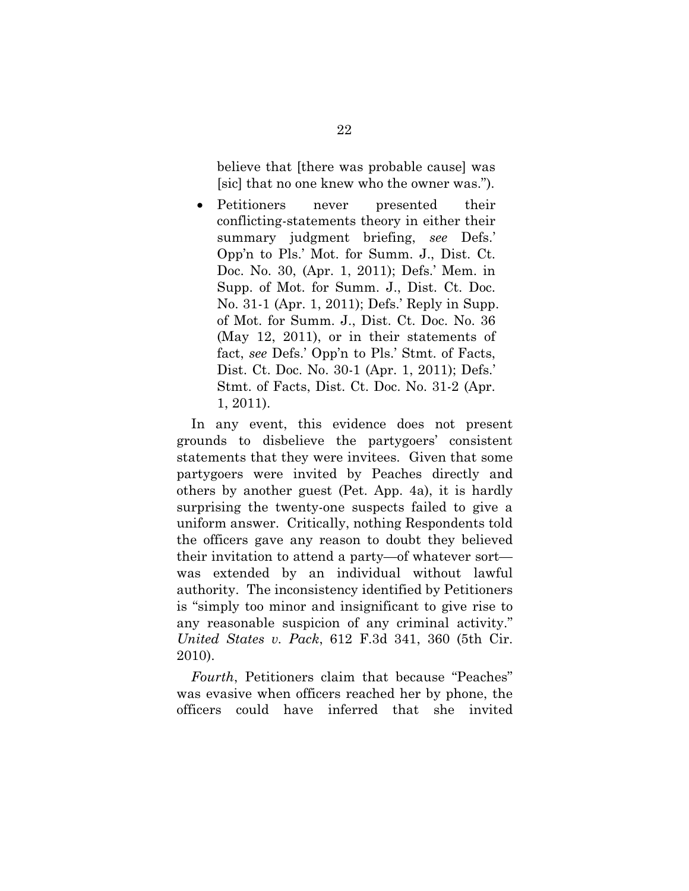believe that [there was probable cause] was [sic] that no one knew who the owner was.").

• Petitioners never presented their conflicting-statements theory in either their summary judgment briefing, *see* Defs.' Opp'n to Pls.' Mot. for Summ. J., Dist. Ct. Doc. No. 30, (Apr. 1, 2011); Defs.' Mem. in Supp. of Mot. for Summ. J., Dist. Ct. Doc. No. 31-1 (Apr. 1, 2011); Defs.' Reply in Supp. of Mot. for Summ. J., Dist. Ct. Doc. No. 36 (May 12, 2011), or in their statements of fact, *see* Defs.' Opp'n to Pls.' Stmt. of Facts, Dist. Ct. Doc. No. 30-1 (Apr. 1, 2011); Defs.' Stmt. of Facts, Dist. Ct. Doc. No. 31-2 (Apr. 1, 2011).

In any event, this evidence does not present grounds to disbelieve the partygoers' consistent statements that they were invitees. Given that some partygoers were invited by Peaches directly and others by another guest (Pet. App. 4a), it is hardly surprising the twenty-one suspects failed to give a uniform answer. Critically, nothing Respondents told the officers gave any reason to doubt they believed their invitation to attend a party—of whatever sort was extended by an individual without lawful authority. The inconsistency identified by Petitioners is "simply too minor and insignificant to give rise to any reasonable suspicion of any criminal activity." *United States v. Pack*, 612 F.3d 341, 360 (5th Cir. 2010).

<span id="page-31-0"></span>*Fourth*, Petitioners claim that because "Peaches" was evasive when officers reached her by phone, the officers could have inferred that she invited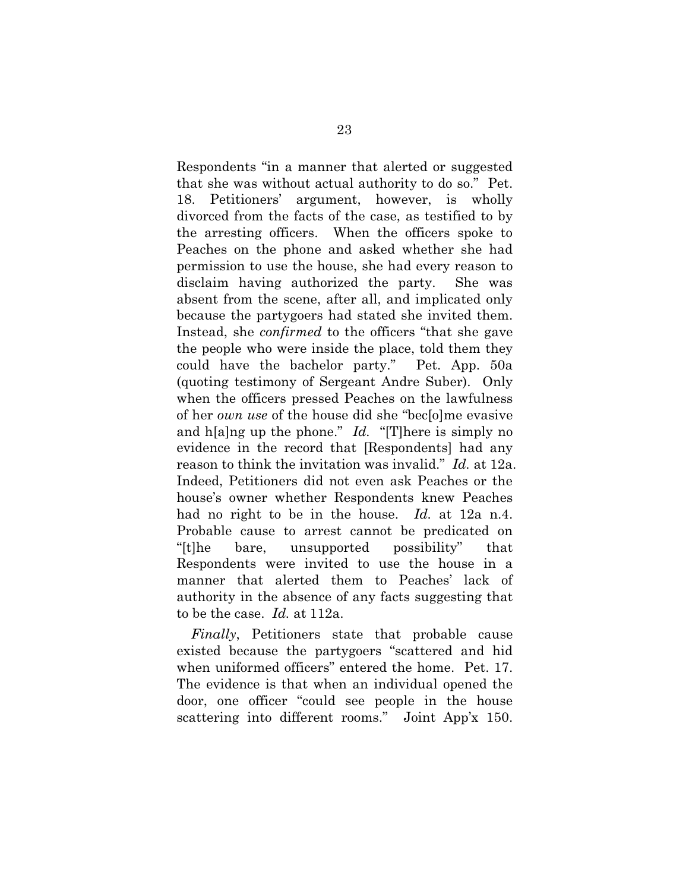Respondents "in a manner that alerted or suggested that she was without actual authority to do so." Pet. 18. Petitioners' argument, however, is wholly divorced from the facts of the case, as testified to by the arresting officers. When the officers spoke to Peaches on the phone and asked whether she had permission to use the house, she had every reason to disclaim having authorized the party. She was absent from the scene, after all, and implicated only because the partygoers had stated she invited them. Instead, she *confirmed* to the officers "that she gave the people who were inside the place, told them they could have the bachelor party." Pet. App. 50a (quoting testimony of Sergeant Andre Suber). Only when the officers pressed Peaches on the lawfulness of her *own use* of the house did she "bec[o]me evasive and h[a]ng up the phone." *Id.* "[T]here is simply no evidence in the record that [Respondents] had any reason to think the invitation was invalid." *Id.* at 12a. Indeed, Petitioners did not even ask Peaches or the house's owner whether Respondents knew Peaches had no right to be in the house. *Id.* at 12a n.4. Probable cause to arrest cannot be predicated on "[t]he bare, unsupported possibility" that Respondents were invited to use the house in a manner that alerted them to Peaches' lack of authority in the absence of any facts suggesting that to be the case. *Id.* at 112a.

*Finally*, Petitioners state that probable cause existed because the partygoers "scattered and hid when uniformed officers" entered the home. Pet. 17. The evidence is that when an individual opened the door, one officer "could see people in the house scattering into different rooms." Joint App'x 150.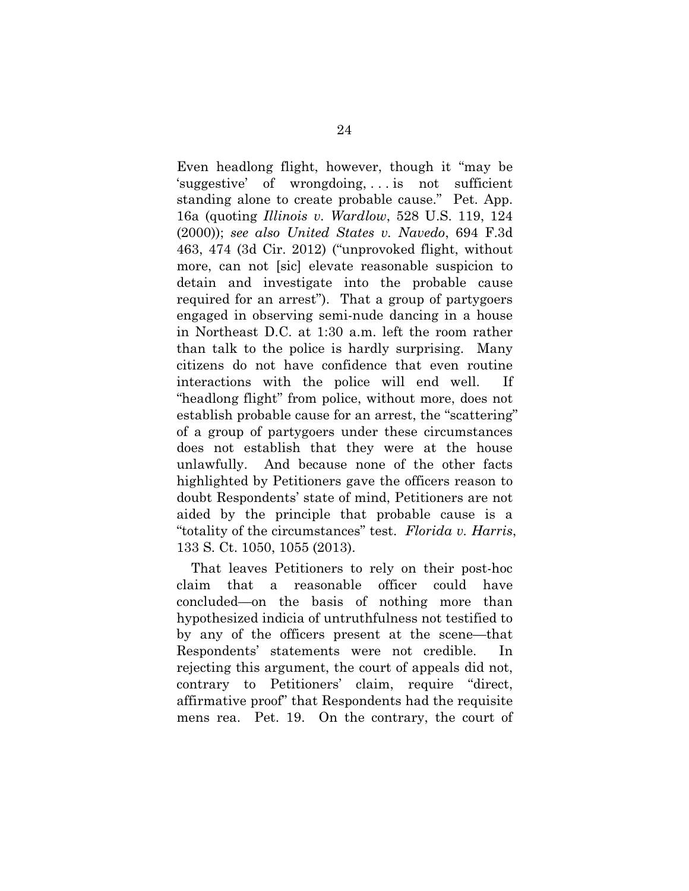<span id="page-33-1"></span>Even headlong flight, however, though it "may be 'suggestive' of wrongdoing, . . . is not sufficient standing alone to create probable cause." Pet. App. 16a (quoting *Illinois v. Wardlow*, 528 U.S. 119, 124 (2000)); *see also United States v. Navedo*, 694 F.3d 463, 474 (3d Cir. 2012) ("unprovoked flight, without more, can not [sic] elevate reasonable suspicion to detain and investigate into the probable cause required for an arrest"). That a group of partygoers engaged in observing semi-nude dancing in a house in Northeast D.C. at 1:30 a.m. left the room rather than talk to the police is hardly surprising. Many citizens do not have confidence that even routine interactions with the police will end well. If "headlong flight" from police, without more, does not establish probable cause for an arrest, the "scattering" of a group of partygoers under these circumstances does not establish that they were at the house unlawfully. And because none of the other facts highlighted by Petitioners gave the officers reason to doubt Respondents' state of mind, Petitioners are not aided by the principle that probable cause is a "totality of the circumstances" test. *Florida v. Harris*, 133 S. Ct. 1050, 1055 (2013).

<span id="page-33-0"></span>That leaves Petitioners to rely on their post-hoc claim that a reasonable officer could have concluded—on the basis of nothing more than hypothesized indicia of untruthfulness not testified to by any of the officers present at the scene—that Respondents' statements were not credible. In rejecting this argument, the court of appeals did not, contrary to Petitioners' claim, require "direct, affirmative proof" that Respondents had the requisite mens rea. Pet. 19. On the contrary, the court of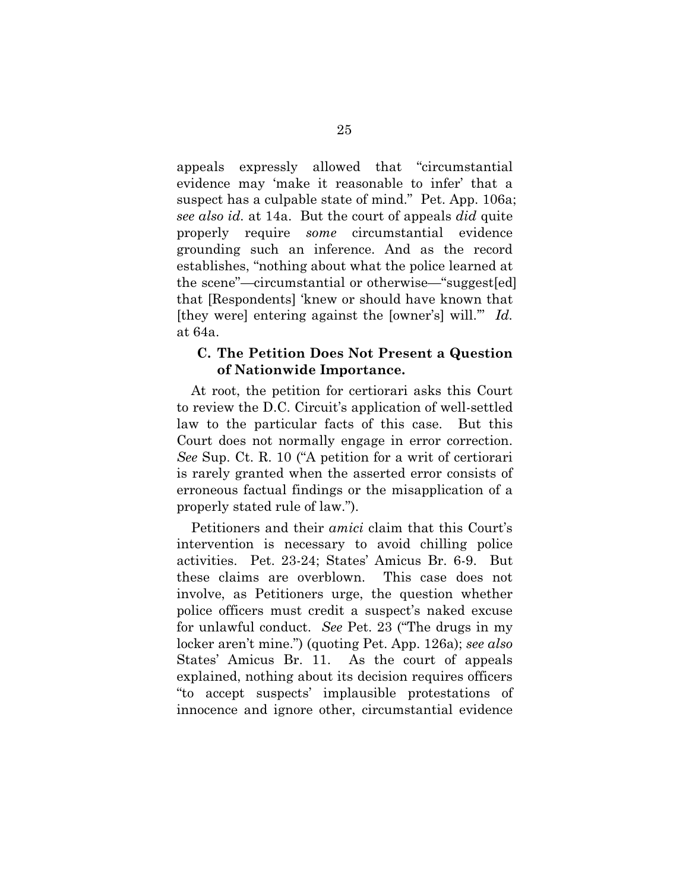appeals expressly allowed that "circumstantial evidence may 'make it reasonable to infer' that a suspect has a culpable state of mind." Pet. App. 106a; *see also id.* at 14a. But the court of appeals *did* quite properly require *some* circumstantial evidence grounding such an inference. And as the record establishes, "nothing about what the police learned at the scene"—circumstantial or otherwise—"suggest[ed] that [Respondents] 'knew or should have known that [they were] entering against the [owner's] will.'" *Id.* at 64a.

### **C. The Petition Does Not Present a Question of Nationwide Importance.**

At root, the petition for certiorari asks this Court to review the D.C. Circuit's application of well-settled law to the particular facts of this case. But this Court does not normally engage in error correction. *See* Sup. Ct. R. 10 ("A petition for a writ of certiorari is rarely granted when the asserted error consists of erroneous factual findings or the misapplication of a properly stated rule of law.").

Petitioners and their *amici* claim that this Court's intervention is necessary to avoid chilling police activities. Pet. 23-24; States' Amicus Br. 6-9. But these claims are overblown. This case does not involve, as Petitioners urge, the question whether police officers must credit a suspect's naked excuse for unlawful conduct. *See* Pet. 23 ("The drugs in my locker aren't mine.") (quoting Pet. App. 126a); *see also*  States' Amicus Br. 11. As the court of appeals explained, nothing about its decision requires officers "to accept suspects' implausible protestations of innocence and ignore other, circumstantial evidence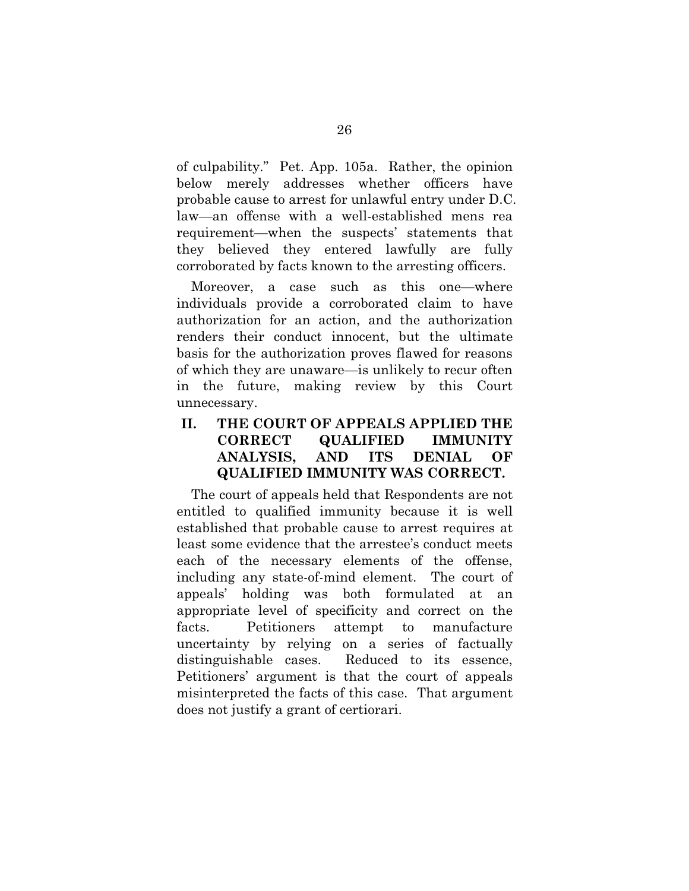of culpability." Pet. App. 105a. Rather, the opinion below merely addresses whether officers have probable cause to arrest for unlawful entry under D.C. law—an offense with a well-established mens rea requirement—when the suspects' statements that they believed they entered lawfully are fully corroborated by facts known to the arresting officers.

Moreover, a case such as this one—where individuals provide a corroborated claim to have authorization for an action, and the authorization renders their conduct innocent, but the ultimate basis for the authorization proves flawed for reasons of which they are unaware—is unlikely to recur often in the future, making review by this Court unnecessary.

## **II. THE COURT OF APPEALS APPLIED THE CORRECT QUALIFIED IMMUNITY ANALYSIS, AND ITS DENIAL OF QUALIFIED IMMUNITY WAS CORRECT.**

The court of appeals held that Respondents are not entitled to qualified immunity because it is well established that probable cause to arrest requires at least some evidence that the arrestee's conduct meets each of the necessary elements of the offense, including any state-of-mind element. The court of appeals' holding was both formulated at an appropriate level of specificity and correct on the facts. Petitioners attempt to manufacture uncertainty by relying on a series of factually distinguishable cases. Reduced to its essence, Petitioners' argument is that the court of appeals misinterpreted the facts of this case. That argument does not justify a grant of certiorari.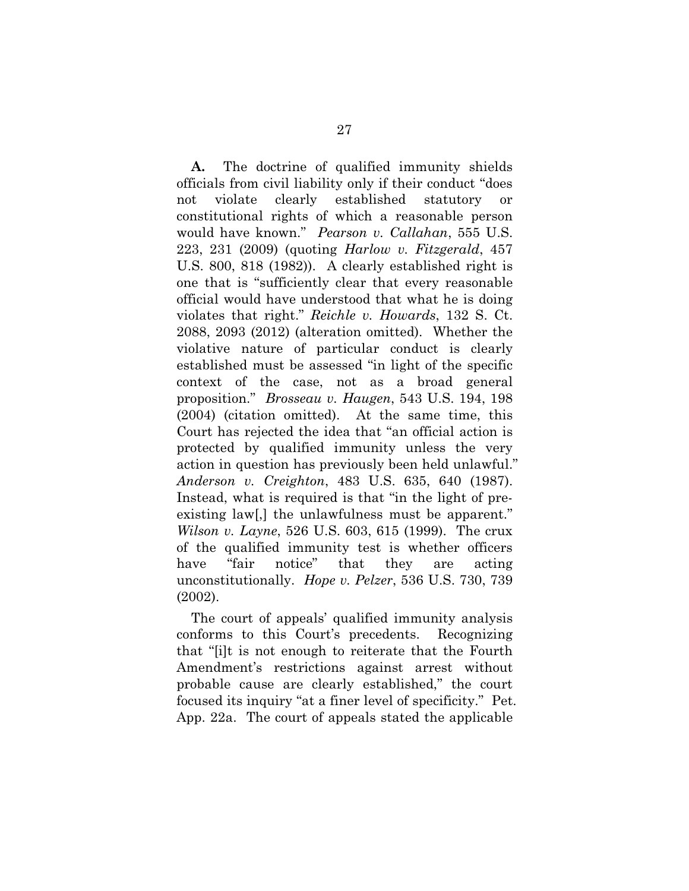<span id="page-36-4"></span><span id="page-36-3"></span>**A.** The doctrine of qualified immunity shields officials from civil liability only if their conduct "does not violate clearly established statutory or constitutional rights of which a reasonable person would have known." *Pearson v. Callahan*, 555 U.S. 223, 231 (2009) (quoting *Harlow v. Fitzgerald*, 457 U.S. 800, 818 (1982)). A clearly established right is one that is "sufficiently clear that every reasonable official would have understood that what he is doing violates that right." *Reichle v. Howards*, 132 S. Ct. 2088, 2093 (2012) (alteration omitted). Whether the violative nature of particular conduct is clearly established must be assessed "in light of the specific context of the case, not as a broad general proposition." *Brosseau v. Haugen*, 543 U.S. 194, 198 (2004) (citation omitted). At the same time, this Court has rejected the idea that "an official action is protected by qualified immunity unless the very action in question has previously been held unlawful." *Anderson v. Creighton*, 483 U.S. 635, 640 (1987). Instead, what is required is that "in the light of preexisting law[,] the unlawfulness must be apparent." *Wilson v. Layne*, 526 U.S. 603, 615 (1999). The crux of the qualified immunity test is whether officers have "fair notice" that they are acting unconstitutionally. *Hope v. Pelzer*, 536 U.S. 730, 739 (2002).

<span id="page-36-5"></span><span id="page-36-2"></span><span id="page-36-1"></span><span id="page-36-0"></span>The court of appeals' qualified immunity analysis conforms to this Court's precedents. Recognizing that "[i]t is not enough to reiterate that the Fourth Amendment's restrictions against arrest without probable cause are clearly established," the court focused its inquiry "at a finer level of specificity." Pet. App. 22a. The court of appeals stated the applicable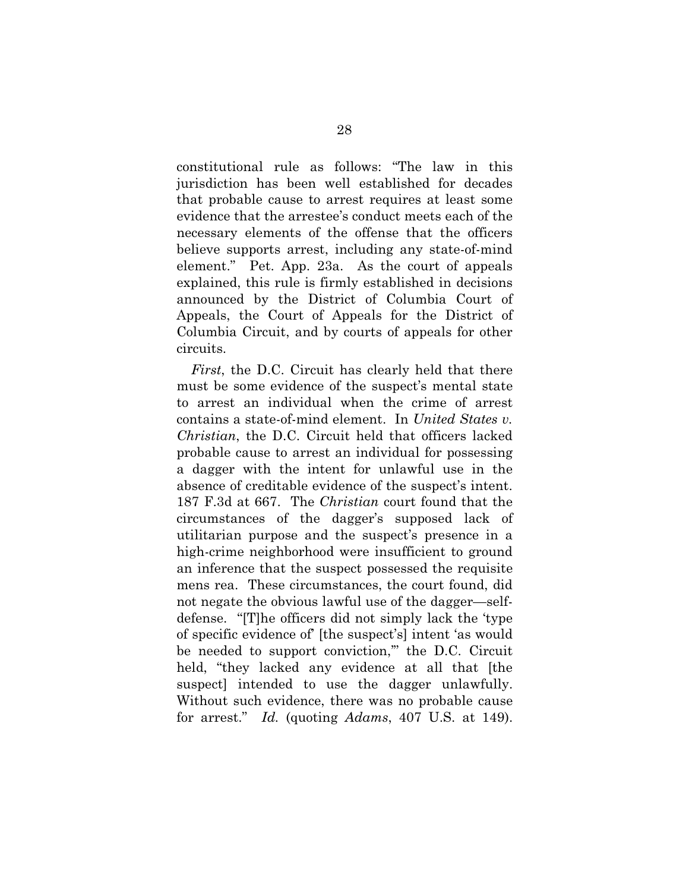constitutional rule as follows: "The law in this jurisdiction has been well established for decades that probable cause to arrest requires at least some evidence that the arrestee's conduct meets each of the necessary elements of the offense that the officers believe supports arrest, including any state-of-mind element." Pet. App. 23a. As the court of appeals explained, this rule is firmly established in decisions announced by the District of Columbia Court of Appeals, the Court of Appeals for the District of Columbia Circuit, and by courts of appeals for other circuits.

<span id="page-37-0"></span>*First*, the D.C. Circuit has clearly held that there must be some evidence of the suspect's mental state to arrest an individual when the crime of arrest contains a state-of-mind element. In *United States v. Christian*, the D.C. Circuit held that officers lacked probable cause to arrest an individual for possessing a dagger with the intent for unlawful use in the absence of creditable evidence of the suspect's intent. 187 F.3d at 667. The *Christian* court found that the circumstances of the dagger's supposed lack of utilitarian purpose and the suspect's presence in a high-crime neighborhood were insufficient to ground an inference that the suspect possessed the requisite mens rea. These circumstances, the court found, did not negate the obvious lawful use of the dagger—selfdefense. "[T]he officers did not simply lack the 'type of specific evidence of' [the suspect's] intent 'as would be needed to support conviction,'" the D.C. Circuit held, "they lacked any evidence at all that [the suspect] intended to use the dagger unlawfully. Without such evidence, there was no probable cause for arrest." *Id.* (quoting *Adams*, 407 U.S. at 149).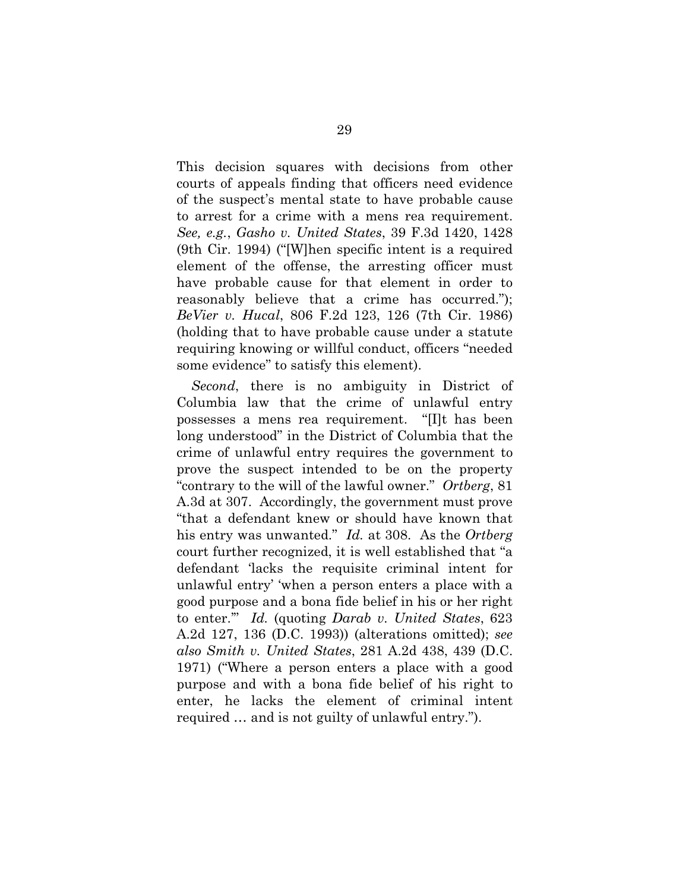<span id="page-38-1"></span>This decision squares with decisions from other courts of appeals finding that officers need evidence of the suspect's mental state to have probable cause to arrest for a crime with a mens rea requirement. *See, e.g.*, *Gasho v. United States*, 39 F.3d 1420, 1428 (9th Cir. 1994) ("[W]hen specific intent is a required element of the offense, the arresting officer must have probable cause for that element in order to reasonably believe that a crime has occurred."); *BeVier v. Hucal*, 806 F.2d 123, 126 (7th Cir. 1986) (holding that to have probable cause under a statute requiring knowing or willful conduct, officers "needed some evidence" to satisfy this element).

<span id="page-38-3"></span><span id="page-38-2"></span><span id="page-38-0"></span>*Second*, there is no ambiguity in District of Columbia law that the crime of unlawful entry possesses a mens rea requirement. "[I]t has been long understood" in the District of Columbia that the crime of unlawful entry requires the government to prove the suspect intended to be on the property "contrary to the will of the lawful owner." *Ortberg*, 81 A.3d at 307. Accordingly, the government must prove "that a defendant knew or should have known that his entry was unwanted." *Id.* at 308. As the *Ortberg* court further recognized, it is well established that "a defendant 'lacks the requisite criminal intent for unlawful entry' 'when a person enters a place with a good purpose and a bona fide belief in his or her right to enter.'" *Id.* (quoting *Darab v. United States*, 623 A.2d 127, 136 (D.C. 1993)) (alterations omitted); *see also Smith v. United States*, 281 A.2d 438, 439 (D.C. 1971) ("Where a person enters a place with a good purpose and with a bona fide belief of his right to enter, he lacks the element of criminal intent required … and is not guilty of unlawful entry.").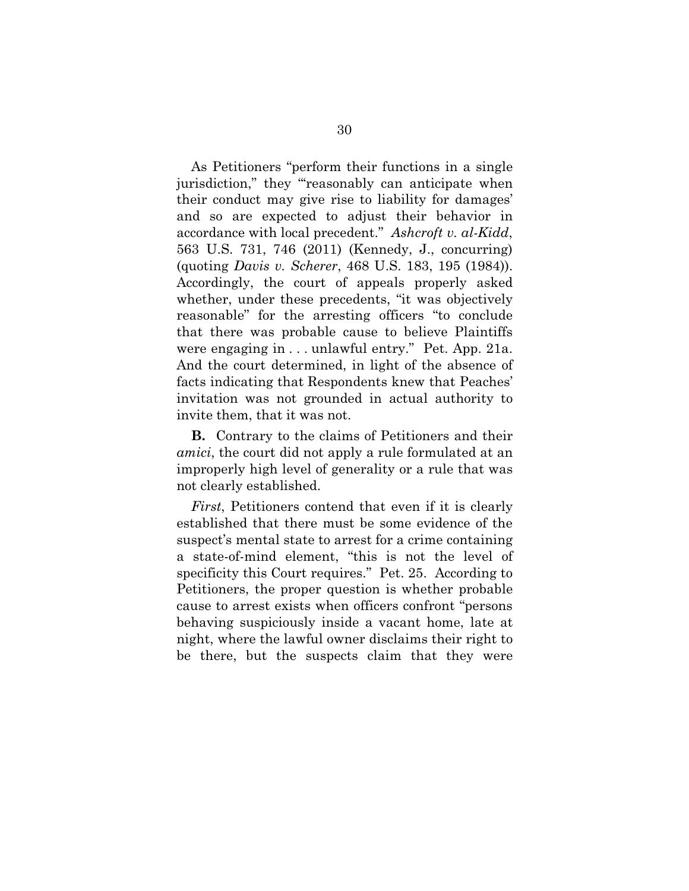<span id="page-39-0"></span>As Petitioners "perform their functions in a single jurisdiction," they "reasonably can anticipate when their conduct may give rise to liability for damages' and so are expected to adjust their behavior in accordance with local precedent." *Ashcroft v. al-Kidd*, 563 U.S. 731, 746 (2011) (Kennedy, J., concurring) (quoting *Davis v. Scherer*, 468 U.S. 183, 195 (1984)). Accordingly, the court of appeals properly asked whether, under these precedents, "it was objectively reasonable" for the arresting officers "to conclude that there was probable cause to believe Plaintiffs were engaging in . . . unlawful entry." Pet. App. 21a. And the court determined, in light of the absence of facts indicating that Respondents knew that Peaches' invitation was not grounded in actual authority to invite them, that it was not.

**B.** Contrary to the claims of Petitioners and their *amici*, the court did not apply a rule formulated at an improperly high level of generality or a rule that was not clearly established.

*First*, Petitioners contend that even if it is clearly established that there must be some evidence of the suspect's mental state to arrest for a crime containing a state-of-mind element, "this is not the level of specificity this Court requires." Pet. 25. According to Petitioners, the proper question is whether probable cause to arrest exists when officers confront "persons behaving suspiciously inside a vacant home, late at night, where the lawful owner disclaims their right to be there, but the suspects claim that they were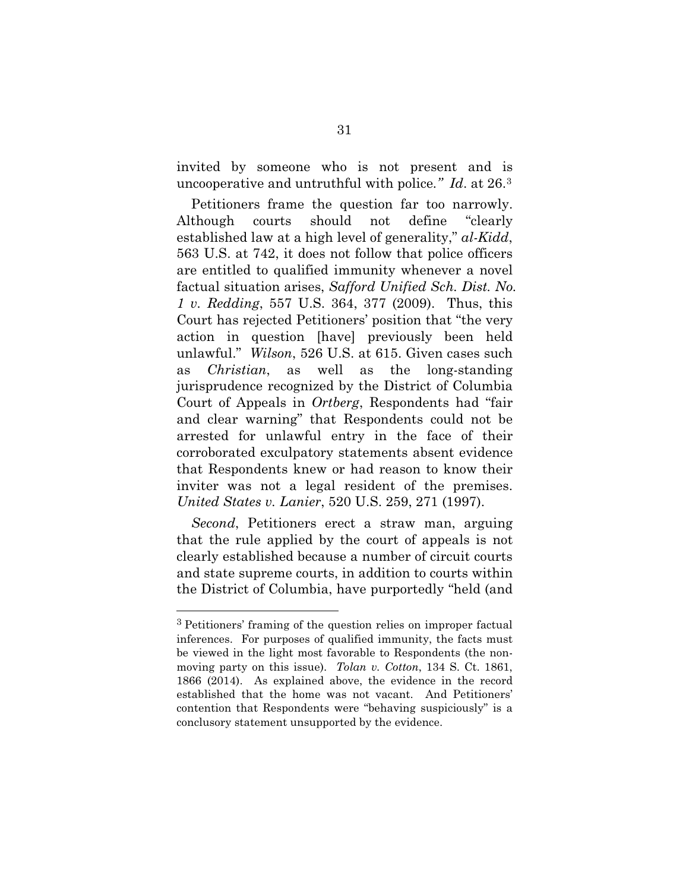invited by someone who is not present and is uncooperative and untruthful with police*." Id*. at 26.[3](#page-40-7)

<span id="page-40-6"></span><span id="page-40-2"></span><span id="page-40-0"></span>Petitioners frame the question far too narrowly. Although courts should not define "clearly established law at a high level of generality," *al-Kidd*, 563 U.S. at 742, it does not follow that police officers are entitled to qualified immunity whenever a novel factual situation arises, *Safford Unified Sch. Dist. No. 1 v. Redding*, 557 U.S. 364, 377 (2009). Thus, this Court has rejected Petitioners' position that "the very action in question [have] previously been held unlawful." *Wilson*, 526 U.S. at 615. Given cases such as *Christian*, as well as the long-standing jurisprudence recognized by the District of Columbia Court of Appeals in *Ortberg*, Respondents had "fair and clear warning" that Respondents could not be arrested for unlawful entry in the face of their corroborated exculpatory statements absent evidence that Respondents knew or had reason to know their inviter was not a legal resident of the premises. *United States v. Lanier*, 520 U.S. 259, 271 (1997).

<span id="page-40-5"></span><span id="page-40-4"></span><span id="page-40-1"></span>*Second*, Petitioners erect a straw man, arguing that the rule applied by the court of appeals is not clearly established because a number of circuit courts and state supreme courts, in addition to courts within the District of Columbia, have purportedly "held (and

<u>.</u>

<span id="page-40-7"></span><span id="page-40-3"></span><sup>3</sup> Petitioners' framing of the question relies on improper factual inferences. For purposes of qualified immunity, the facts must be viewed in the light most favorable to Respondents (the nonmoving party on this issue). *Tolan v. Cotton*, 134 S. Ct. 1861, 1866 (2014). As explained above, the evidence in the record established that the home was not vacant. And Petitioners' contention that Respondents were "behaving suspiciously" is a conclusory statement unsupported by the evidence.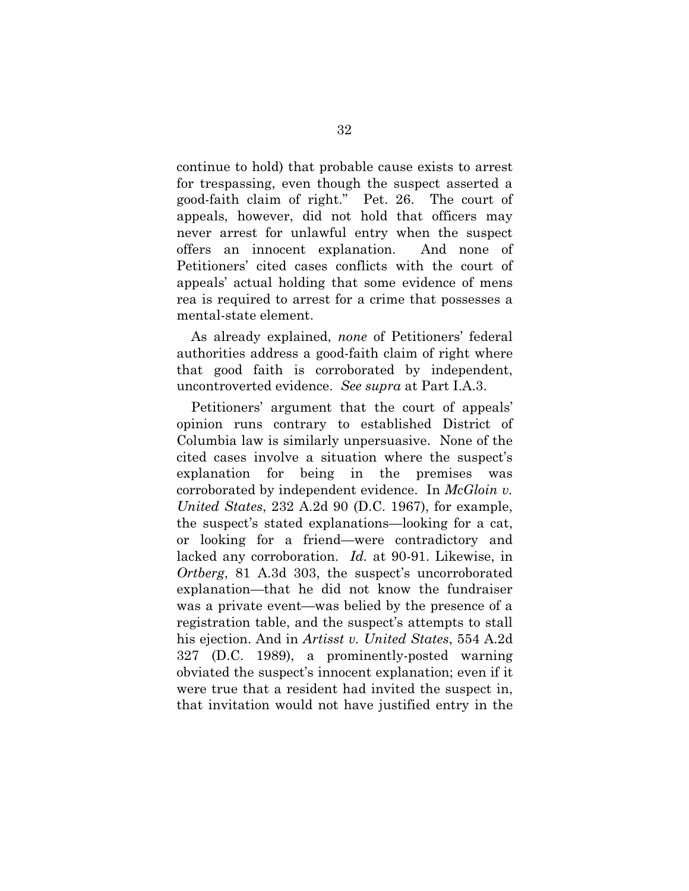continue to hold) that probable cause exists to arrest for trespassing, even though the suspect asserted a good-faith claim of right." Pet. 26. The court of appeals, however, did not hold that officers may never arrest for unlawful entry when the suspect offers an innocent explanation. And none of Petitioners' cited cases conflicts with the court of appeals' actual holding that some evidence of mens rea is required to arrest for a crime that possesses a mental-state element.

As already explained, *none* of Petitioners' federal authorities address a good-faith claim of right where that good faith is corroborated by independent, uncontroverted evidence. *See supra* at Part I.A.3.

<span id="page-41-2"></span><span id="page-41-1"></span><span id="page-41-0"></span>Petitioners' argument that the court of appeals' opinion runs contrary to established District of Columbia law is similarly unpersuasive. None of the cited cases involve a situation where the suspect's explanation for being in the premises was corroborated by independent evidence. In *McGloin v. United States*, 232 A.2d 90 (D.C. 1967), for example, the suspect's stated explanations—looking for a cat, or looking for a friend—were contradictory and lacked any corroboration. *Id.* at 90-91. Likewise, in *Ortberg*, 81 A.3d 303, the suspect's uncorroborated explanation—that he did not know the fundraiser was a private event—was belied by the presence of a registration table, and the suspect's attempts to stall his ejection. And in *Artisst v. United States*, 554 A.2d 327 (D.C. 1989), a prominently-posted warning obviated the suspect's innocent explanation; even if it were true that a resident had invited the suspect in, that invitation would not have justified entry in the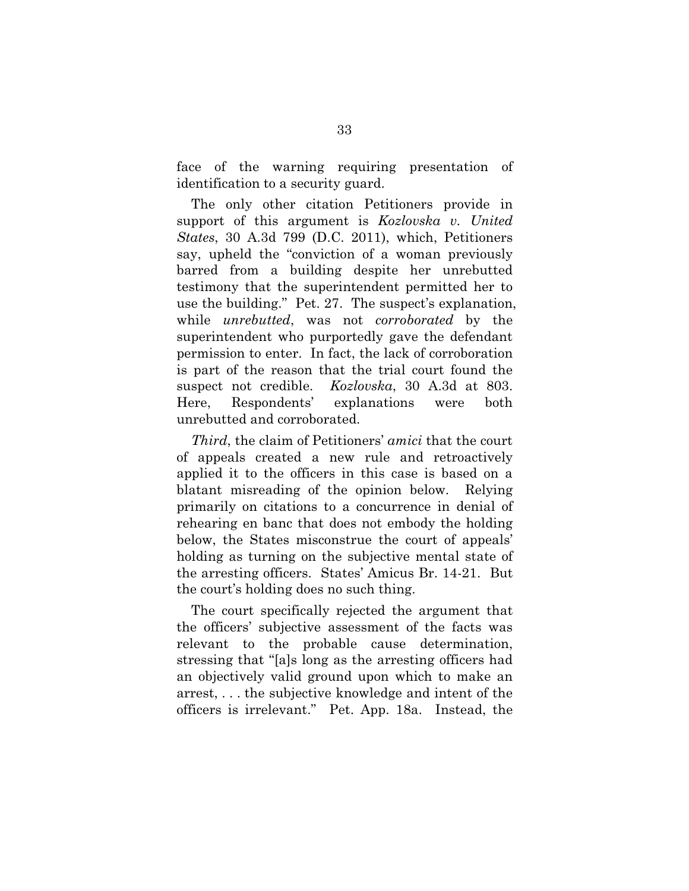face of the warning requiring presentation of identification to a security guard.

The only other citation Petitioners provide in support of this argument is *Kozlovska v. United States*, 30 A.3d 799 (D.C. 2011), which, Petitioners say, upheld the "conviction of a woman previously barred from a building despite her unrebutted testimony that the superintendent permitted her to use the building." Pet. 27. The suspect's explanation, while *unrebutted*, was not *corroborated* by the superintendent who purportedly gave the defendant permission to enter. In fact, the lack of corroboration is part of the reason that the trial court found the suspect not credible. *Kozlovska*, 30 A.3d at 803. Here, Respondents' explanations were both unrebutted and corroborated.

<span id="page-42-0"></span>*Third*, the claim of Petitioners' *amici* that the court of appeals created a new rule and retroactively applied it to the officers in this case is based on a blatant misreading of the opinion below. Relying primarily on citations to a concurrence in denial of rehearing en banc that does not embody the holding below, the States misconstrue the court of appeals' holding as turning on the subjective mental state of the arresting officers. States' Amicus Br. 14-21. But the court's holding does no such thing.

The court specifically rejected the argument that the officers' subjective assessment of the facts was relevant to the probable cause determination, stressing that "[a]s long as the arresting officers had an objectively valid ground upon which to make an arrest, . . . the subjective knowledge and intent of the officers is irrelevant." Pet. App. 18a. Instead, the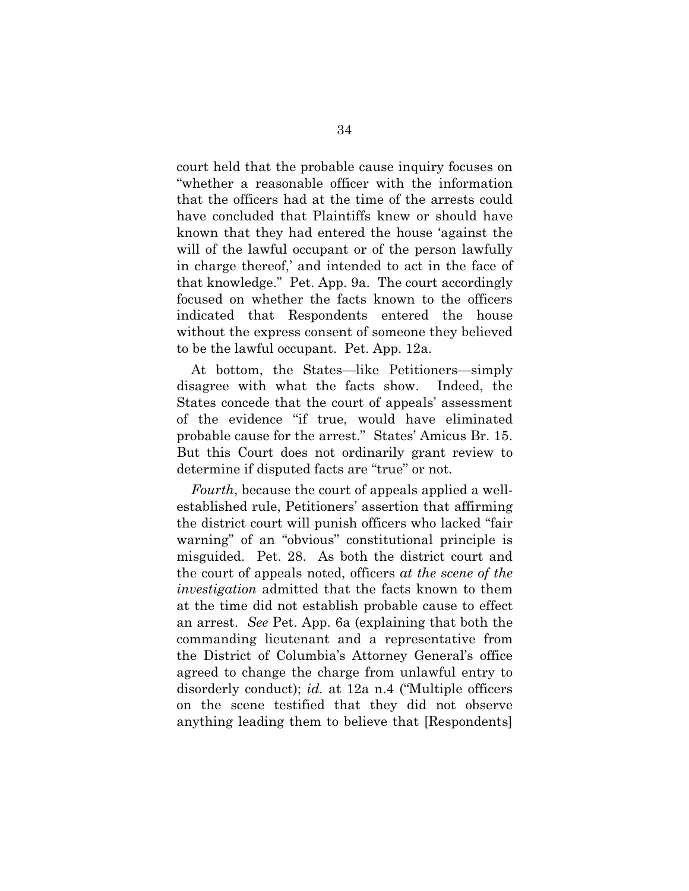court held that the probable cause inquiry focuses on "whether a reasonable officer with the information that the officers had at the time of the arrests could have concluded that Plaintiffs knew or should have known that they had entered the house 'against the will of the lawful occupant or of the person lawfully in charge thereof,' and intended to act in the face of that knowledge." Pet. App. 9a. The court accordingly focused on whether the facts known to the officers indicated that Respondents entered the house without the express consent of someone they believed to be the lawful occupant. Pet. App. 12a.

At bottom, the States—like Petitioners—simply disagree with what the facts show. Indeed, the States concede that the court of appeals' assessment of the evidence "if true, would have eliminated probable cause for the arrest." States' Amicus Br. 15. But this Court does not ordinarily grant review to determine if disputed facts are "true" or not.

*Fourth*, because the court of appeals applied a wellestablished rule, Petitioners' assertion that affirming the district court will punish officers who lacked "fair warning" of an "obvious" constitutional principle is misguided. Pet. 28. As both the district court and the court of appeals noted, officers *at the scene of the investigation* admitted that the facts known to them at the time did not establish probable cause to effect an arrest. *See* Pet. App. 6a (explaining that both the commanding lieutenant and a representative from the District of Columbia's Attorney General's office agreed to change the charge from unlawful entry to disorderly conduct); *id.* at 12a n.4 ("Multiple officers on the scene testified that they did not observe anything leading them to believe that [Respondents]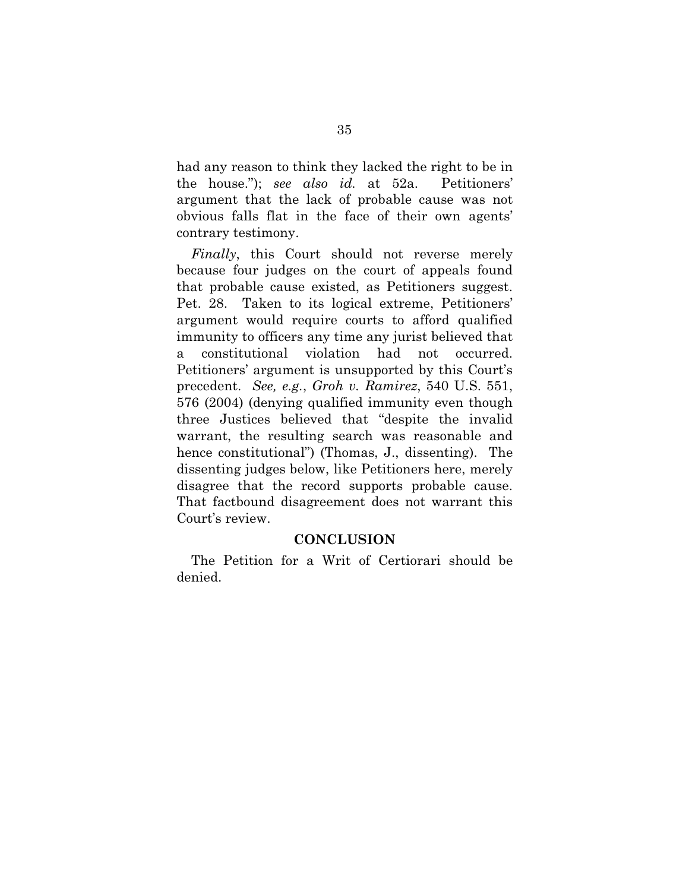had any reason to think they lacked the right to be in the house."); *see also id.* at 52a. Petitioners' argument that the lack of probable cause was not obvious falls flat in the face of their own agents' contrary testimony.

*Finally*, this Court should not reverse merely because four judges on the court of appeals found that probable cause existed, as Petitioners suggest. Pet. 28. Taken to its logical extreme, Petitioners' argument would require courts to afford qualified immunity to officers any time any jurist believed that a constitutional violation had not occurred. Petitioners' argument is unsupported by this Court's precedent. *See, e.g.*, *Groh v. Ramirez*, 540 U.S. 551, 576 (2004) (denying qualified immunity even though three Justices believed that "despite the invalid warrant, the resulting search was reasonable and hence constitutional") (Thomas, J., dissenting). The dissenting judges below, like Petitioners here, merely disagree that the record supports probable cause. That factbound disagreement does not warrant this Court's review.

#### <span id="page-44-0"></span>**CONCLUSION**

The Petition for a Writ of Certiorari should be denied.